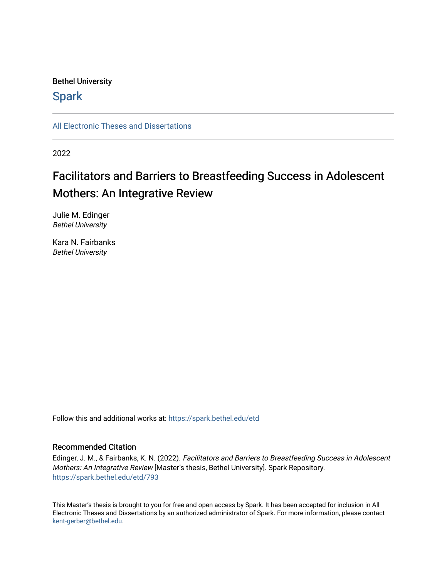## Bethel University

# **Spark**

[All Electronic Theses and Dissertations](https://spark.bethel.edu/etd) 

2022

# Facilitators and Barriers to Breastfeeding Success in Adolescent Mothers: An Integrative Review

Julie M. Edinger Bethel University

Kara N. Fairbanks Bethel University

Follow this and additional works at: [https://spark.bethel.edu/etd](https://spark.bethel.edu/etd?utm_source=spark.bethel.edu%2Fetd%2F793&utm_medium=PDF&utm_campaign=PDFCoverPages)

### Recommended Citation

Edinger, J. M., & Fairbanks, K. N. (2022). Facilitators and Barriers to Breastfeeding Success in Adolescent Mothers: An Integrative Review [Master's thesis, Bethel University]. Spark Repository. [https://spark.bethel.edu/etd/793](https://spark.bethel.edu/etd/793?utm_source=spark.bethel.edu%2Fetd%2F793&utm_medium=PDF&utm_campaign=PDFCoverPages)

This Master's thesis is brought to you for free and open access by Spark. It has been accepted for inclusion in All Electronic Theses and Dissertations by an authorized administrator of Spark. For more information, please contact [kent-gerber@bethel.edu](mailto:kent-gerber@bethel.edu).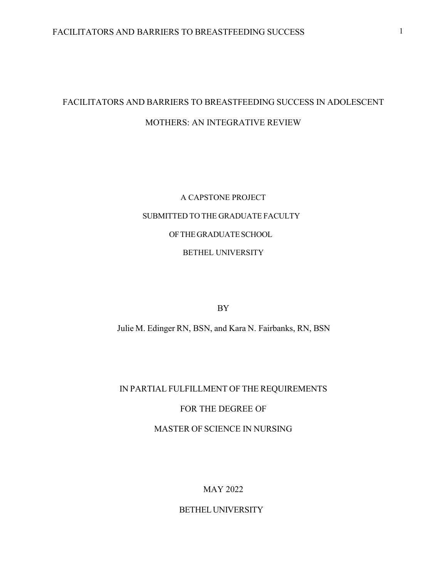# FACILITATORS AND BARRIERS TO BREASTFEEDING SUCCESS IN ADOLESCENT MOTHERS: AN INTEGRATIVE REVIEW

# A CAPSTONE PROJECT SUBMITTED TO THE GRADUATE FACULTY OFTHEGRADUATESCHOOL BETHEL UNIVERSITY

BY

Julie M. Edinger RN, BSN, and Kara N. Fairbanks, RN, BSN

# IN PARTIAL FULFILLMENT OF THE REQUIREMENTS

## FOR THE DEGREE OF

## MASTER OF SCIENCE IN NURSING

## MAY 2022

## BETHEL UNIVERSITY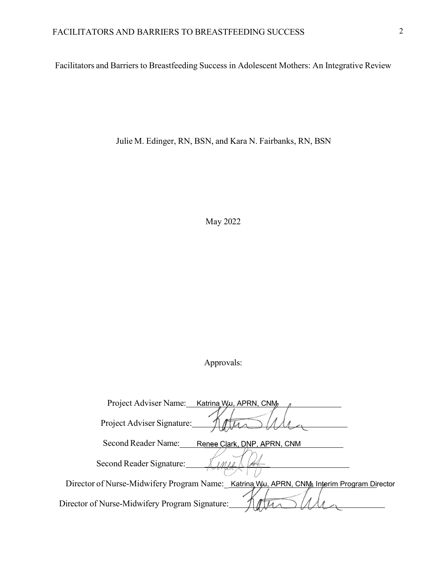Facilitators and Barriers to Breastfeeding Success in Adolescent Mothers: An Integrative Review

Julie M. Edinger, RN, BSN, and Kara N. Fairbanks, RN, BSN

May 2022

Approvals:

| Project Adviser Name: Katrina Wu, APRN, CNM                                               |
|-------------------------------------------------------------------------------------------|
| Project Adviser Signature:                                                                |
| Second Reader Name:<br>Renee Clark, DNP, APRN, CNM                                        |
| Second Reader Signature:                                                                  |
| Director of Nurse-Midwifery Program Name: Katrina Wu, APRN, CNM, Interim Program Director |
| Director of Nurse-Midwifery Program Signature:                                            |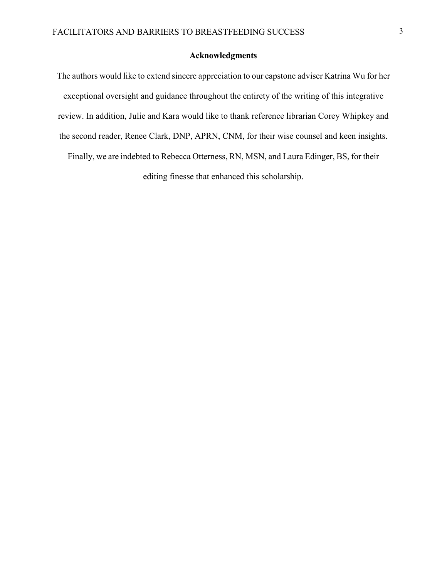### **Acknowledgments**

The authors would like to extend sincere appreciation to our capstone adviser Katrina Wu for her exceptional oversight and guidance throughout the entirety of the writing of this integrative review. In addition, Julie and Kara would like to thank reference librarian Corey Whipkey and the second reader, Renee Clark, DNP, APRN, CNM, for their wise counsel and keen insights. Finally, we are indebted to Rebecca Otterness, RN, MSN, and Laura Edinger, BS, for their editing finesse that enhanced this scholarship.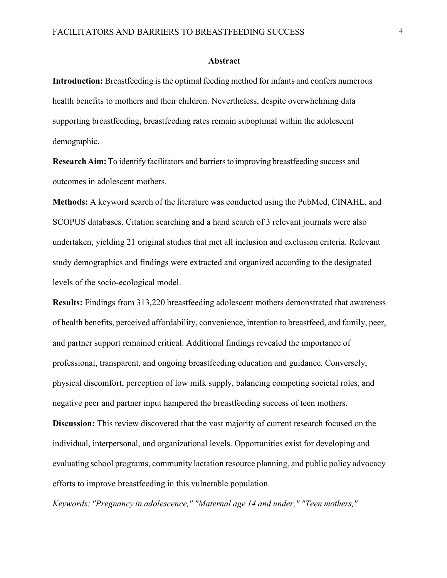#### **Abstract**

**Introduction:** Breastfeeding is the optimal feeding method for infants and confers numerous health benefits to mothers and their children. Nevertheless, despite overwhelming data supporting breastfeeding, breastfeeding rates remain suboptimal within the adolescent demographic.

**Research Aim:** To identify facilitators and barriers to improving breastfeeding success and outcomes in adolescent mothers.

**Methods:** A keyword search of the literature was conducted using the PubMed, CINAHL, and SCOPUS databases. Citation searching and a hand search of 3 relevant journals were also undertaken, yielding 21 original studies that met all inclusion and exclusion criteria. Relevant study demographics and findings were extracted and organized according to the designated levels of the socio-ecological model.

**Results:** Findings from 313,220 breastfeeding adolescent mothers demonstrated that awareness of health benefits, perceived affordability, convenience, intention to breastfeed, and family, peer, and partner support remained critical. Additional findings revealed the importance of professional, transparent, and ongoing breastfeeding education and guidance. Conversely, physical discomfort, perception of low milk supply, balancing competing societal roles, and negative peer and partner input hampered the breastfeeding success of teen mothers.

**Discussion:** This review discovered that the vast majority of current research focused on the individual, interpersonal, and organizational levels. Opportunities exist for developing and evaluating school programs, community lactation resource planning, and public policy advocacy efforts to improve breastfeeding in this vulnerable population.

*Keywords: "Pregnancy in adolescence," "Maternal age 14 and under," "Teen mothers,"*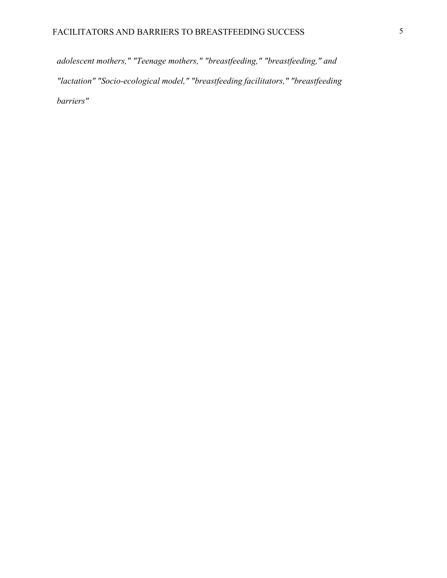*adolescent mothers," "Teenage mothers," "breastfeeding," "breastfeeding," and "lactation" "Socio-ecological model," "breastfeeding facilitators," "breastfeeding barriers"*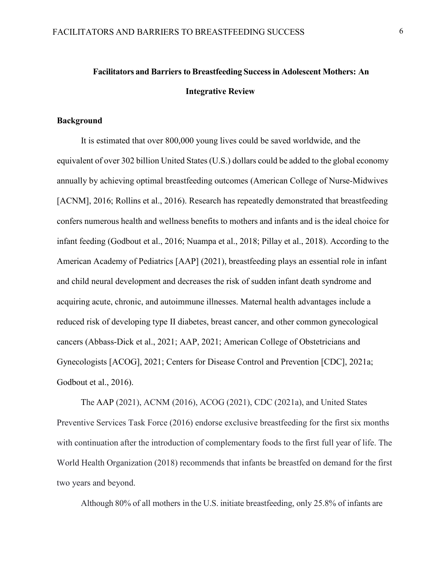# **Facilitators and Barriers to Breastfeeding Successin Adolescent Mothers: An Integrative Review**

### **Background**

It is estimated that over 800,000 young lives could be saved worldwide, and the equivalent of over 302 billion United States (U.S.) dollars could be added to the global economy annually by achieving optimal breastfeeding outcomes (American College of Nurse-Midwives [ACNM], 2016; Rollins et al., 2016). Research has repeatedly demonstrated that breastfeeding confers numerous health and wellness benefits to mothers and infants and is the ideal choice for infant feeding (Godbout et al., 2016; Nuampa et al., 2018; Pillay et al., 2018). According to the American Academy of Pediatrics [AAP] (2021), breastfeeding plays an essential role in infant and child neural development and decreases the risk of sudden infant death syndrome and acquiring acute, chronic, and autoimmune illnesses. Maternal health advantages include a reduced risk of developing type II diabetes, breast cancer, and other common gynecological cancers (Abbass-Dick et al., 2021; AAP, 2021; American College of Obstetricians and Gynecologists [ACOG], 2021; Centers for Disease Control and Prevention [CDC], 2021a; Godbout et al., 2016).

The AAP (2021), ACNM (2016), ACOG (2021), CDC (2021a), and United States Preventive Services Task Force (2016) endorse exclusive breastfeeding for the first six months with continuation after the introduction of complementary foods to the first full year of life. The World Health Organization (2018) recommends that infants be breastfed on demand for the first two years and beyond.

Although 80% of all mothers in the U.S. initiate breastfeeding, only 25.8% of infants are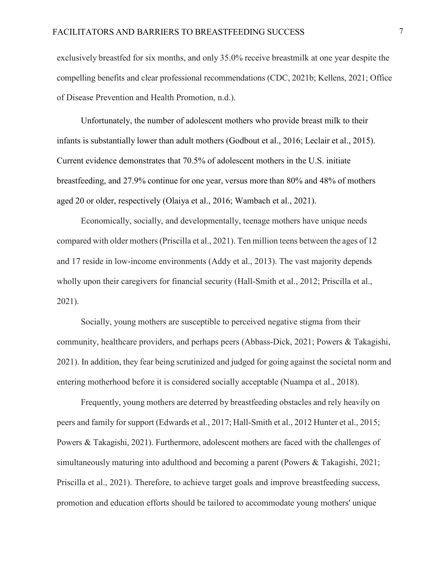exclusively breastfed for six months, and only 35.0% receive breastmilk at one year despite the compelling benefits and clear professional recommendations (CDC, 2021b; Kellens, 2021; Office of Disease Prevention and Health Promotion, n.d.).

Unfortunately, the number of adolescent mothers who provide breast milk to their infants is substantially lower than adult mothers (Godbout et al., 2016; Leclair et al., 2015). Current evidence demonstrates that 70.5% of adolescent mothers in the U.S. initiate breastfeeding, and 27.9% continue for one year, versus more than 80% and 48% of mothers aged 20 or older, respectively (Olaiya et al., 2016; Wambach et al., 2021).

Economically, socially, and developmentally, teenage mothers have unique needs compared with older mothers (Priscilla et al., 2021). Ten million teens between the ages of 12 and 17 reside in low-income environments (Addy et al., 2013). The vast majority depends wholly upon their caregivers for financial security (Hall-Smith et al., 2012; Priscilla et al., 2021).

Socially, young mothers are susceptible to perceived negative stigma from their community, healthcare providers, and perhaps peers (Abbass-Dick, 2021; Powers & Takagishi, 2021). In addition, they fear being scrutinized and judged for going against the societal norm and entering motherhood before it is considered socially acceptable (Nuampa et al., 2018).

Frequently, young mothers are deterred by breastfeeding obstacles and rely heavily on peers and family for support (Edwards et al., 2017; Hall-Smith et al., 2012 Hunter et al., 2015; Powers & Takagishi, 2021). Furthermore, adolescent mothers are faced with the challenges of simultaneously maturing into adulthood and becoming a parent (Powers & Takagishi, 2021; Priscilla et al., 2021). Therefore, to achieve target goals and improve breastfeeding success, promotion and education efforts should be tailored to accommodate young mothers' unique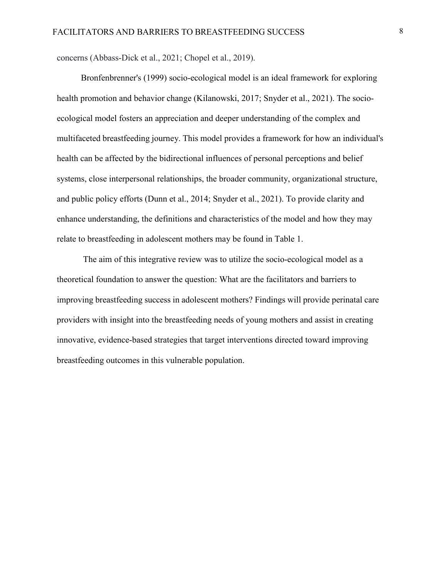concerns (Abbass-Dick et al., 2021; Chopel et al., 2019).

Bronfenbrenner's (1999) socio-ecological model is an ideal framework for exploring health promotion and behavior change (Kilanowski, 2017; Snyder et al., 2021). The socioecological model fosters an appreciation and deeper understanding of the complex and multifaceted breastfeeding journey. This model provides a framework for how an individual's health can be affected by the bidirectional influences of personal perceptions and belief systems, close interpersonal relationships, the broader community, organizational structure, and public policy efforts (Dunn et al., 2014; Snyder et al., 2021). To provide clarity and enhance understanding, the definitions and characteristics of the model and how they may relate to breastfeeding in adolescent mothers may be found in Table 1.

The aim of this integrative review was to utilize the socio-ecological model as a theoretical foundation to answer the question: What are the facilitators and barriers to improving breastfeeding success in adolescent mothers? Findings will provide perinatal care providers with insight into the breastfeeding needs of young mothers and assist in creating innovative, evidence-based strategies that target interventions directed toward improving breastfeeding outcomes in this vulnerable population.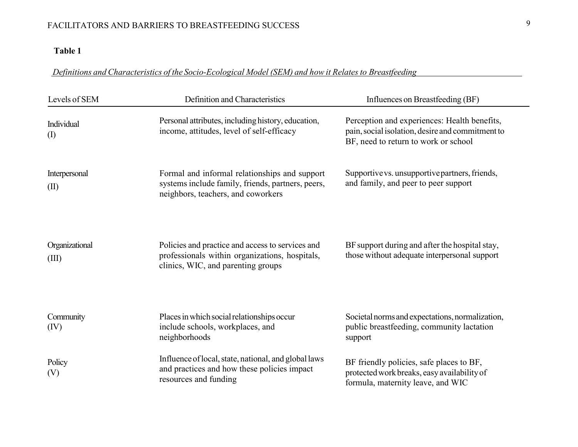# **Table 1**

# *Definitions and Characteristics of the Socio-Ecological Model (SEM) and how it Relates to Breastfeeding*

| Levels of SEM                            | Definition and Characteristics                                                                                                           | Influences on Breastfeeding (BF)                                                                                                         |  |  |  |
|------------------------------------------|------------------------------------------------------------------------------------------------------------------------------------------|------------------------------------------------------------------------------------------------------------------------------------------|--|--|--|
| Individual<br>$\left( \mathrm{I}\right)$ | Personal attributes, including history, education,<br>income, attitudes, level of self-efficacy                                          | Perception and experiences: Health benefits,<br>pain, social isolation, desire and commitment to<br>BF, need to return to work or school |  |  |  |
| Interpersonal<br>(II)                    | Formal and informal relationships and support<br>systems include family, friends, partners, peers,<br>neighbors, teachers, and coworkers | Supportive vs. unsupportive partners, friends,<br>and family, and peer to peer support                                                   |  |  |  |
| Organizational<br>(III)                  | Policies and practice and access to services and<br>professionals within organizations, hospitals,<br>clinics, WIC, and parenting groups | BF support during and after the hospital stay,<br>those without adequate interpersonal support                                           |  |  |  |
| Community<br>(IV)                        | Places in which social relationships occur<br>include schools, workplaces, and<br>neighborhoods                                          | Societal norms and expectations, normalization,<br>public breastfeeding, community lactation<br>support                                  |  |  |  |
| Policy<br>(V)                            | Influence of local, state, national, and global laws<br>and practices and how these policies impact<br>resources and funding             | BF friendly policies, safe places to BF,<br>protected work breaks, easy availability of<br>formula, maternity leave, and WIC             |  |  |  |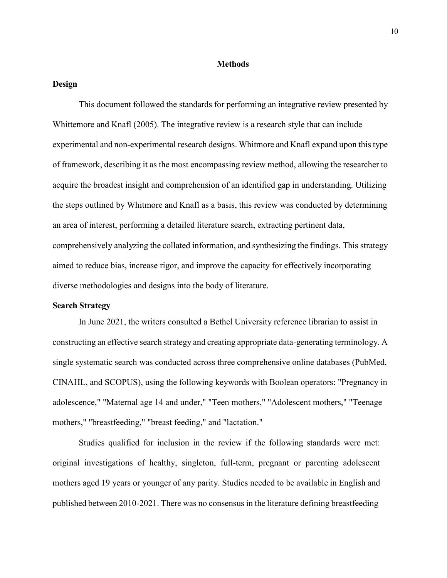#### **Methods**

#### **Design**

This document followed the standards for performing an integrative review presented by Whittemore and Knafl (2005). The integrative review is a research style that can include experimental and non-experimental research designs. Whitmore and Knafl expand upon this type of framework, describing it as the most encompassing review method, allowing the researcher to acquire the broadest insight and comprehension of an identified gap in understanding. Utilizing the steps outlined by Whitmore and Knafl as a basis, this review was conducted by determining an area of interest, performing a detailed literature search, extracting pertinent data, comprehensively analyzing the collated information, and synthesizing the findings. This strategy aimed to reduce bias, increase rigor, and improve the capacity for effectively incorporating diverse methodologies and designs into the body of literature.

### **Search Strategy**

In June 2021, the writers consulted a Bethel University reference librarian to assist in constructing an effective search strategy and creating appropriate data-generating terminology. A single systematic search was conducted across three comprehensive online databases (PubMed, CINAHL, and SCOPUS), using the following keywords with Boolean operators: "Pregnancy in adolescence," "Maternal age 14 and under," "Teen mothers," "Adolescent mothers," "Teenage mothers," "breastfeeding," "breast feeding," and "lactation."

Studies qualified for inclusion in the review if the following standards were met: original investigations of healthy, singleton, full-term, pregnant or parenting adolescent mothers aged 19 years or younger of any parity. Studies needed to be available in English and published between 2010-2021. There was no consensus in the literature defining breastfeeding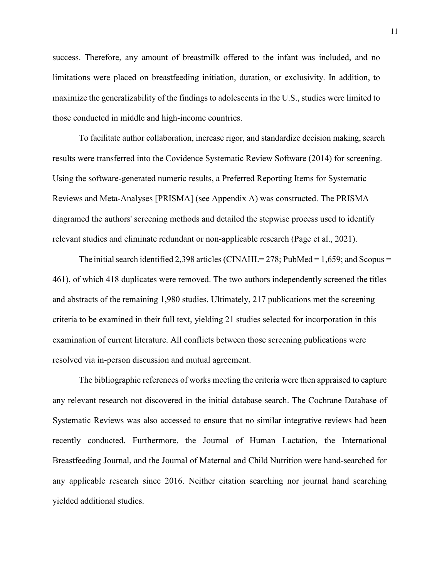success. Therefore, any amount of breastmilk offered to the infant was included, and no limitations were placed on breastfeeding initiation, duration, or exclusivity. In addition, to maximize the generalizability of the findings to adolescents in the U.S., studies were limited to those conducted in middle and high-income countries.

To facilitate author collaboration, increase rigor, and standardize decision making, search results were transferred into the Covidence Systematic Review Software (2014) for screening. Using the software-generated numeric results, a Preferred Reporting Items for Systematic Reviews and Meta-Analyses [PRISMA] (see Appendix A) was constructed. The PRISMA diagramed the authors' screening methods and detailed the stepwise process used to identify relevant studies and eliminate redundant or non-applicable research (Page et al., 2021).

The initial search identified 2,398 articles (CINAHL= 278; PubMed = 1,659; and Scopus = 461), of which 418 duplicates were removed. The two authors independently screened the titles and abstracts of the remaining 1,980 studies. Ultimately, 217 publications met the screening criteria to be examined in their full text, yielding 21 studies selected for incorporation in this examination of current literature. All conflicts between those screening publications were resolved via in-person discussion and mutual agreement.

The bibliographic references of works meeting the criteria were then appraised to capture any relevant research not discovered in the initial database search. The Cochrane Database of Systematic Reviews was also accessed to ensure that no similar integrative reviews had been recently conducted. Furthermore, the Journal of Human Lactation, the International Breastfeeding Journal, and the Journal of Maternal and Child Nutrition were hand-searched for any applicable research since 2016. Neither citation searching nor journal hand searching yielded additional studies.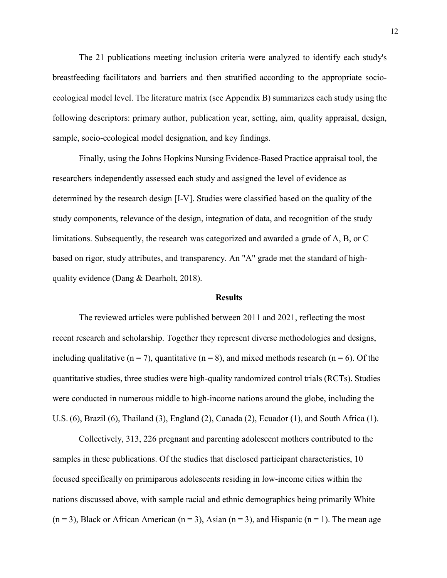The 21 publications meeting inclusion criteria were analyzed to identify each study's breastfeeding facilitators and barriers and then stratified according to the appropriate socioecological model level. The literature matrix (see Appendix B) summarizes each study using the following descriptors: primary author, publication year, setting, aim, quality appraisal, design, sample, socio-ecological model designation, and key findings.

Finally, using the Johns Hopkins Nursing Evidence-Based Practice appraisal tool, the researchers independently assessed each study and assigned the level of evidence as determined by the research design [I-V]. Studies were classified based on the quality of the study components, relevance of the design, integration of data, and recognition of the study limitations. Subsequently, the research was categorized and awarded a grade of A, B, or C based on rigor, study attributes, and transparency. An "A" grade met the standard of highquality evidence (Dang & Dearholt, 2018).

### **Results**

The reviewed articles were published between 2011 and 2021, reflecting the most recent research and scholarship. Together they represent diverse methodologies and designs, including qualitative ( $n = 7$ ), quantitative ( $n = 8$ ), and mixed methods research ( $n = 6$ ). Of the quantitative studies, three studies were high-quality randomized control trials (RCTs). Studies were conducted in numerous middle to high-income nations around the globe, including the U.S. (6), Brazil (6), Thailand (3), England (2), Canada (2), Ecuador (1), and South Africa (1).

Collectively, 313, 226 pregnant and parenting adolescent mothers contributed to the samples in these publications. Of the studies that disclosed participant characteristics, 10 focused specifically on primiparous adolescents residing in low-income cities within the nations discussed above, with sample racial and ethnic demographics being primarily White  $(n = 3)$ , Black or African American  $(n = 3)$ , Asian  $(n = 3)$ , and Hispanic  $(n = 1)$ . The mean age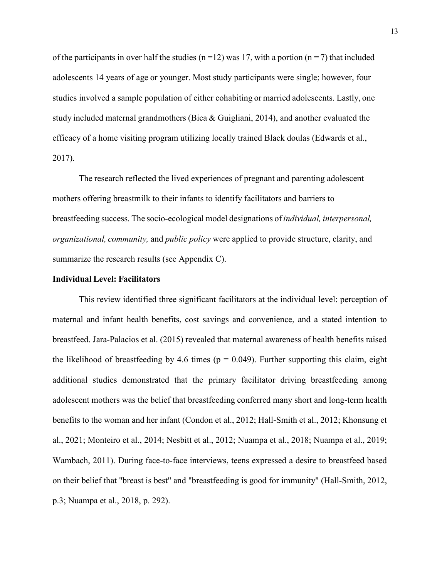of the participants in over half the studies ( $n=12$ ) was 17, with a portion ( $n=7$ ) that included adolescents 14 years of age or younger. Most study participants were single; however, four studies involved a sample population of either cohabiting or married adolescents. Lastly, one study included maternal grandmothers (Bica & Guigliani, 2014), and another evaluated the efficacy of a home visiting program utilizing locally trained Black doulas (Edwards et al., 2017).

The research reflected the lived experiences of pregnant and parenting adolescent mothers offering breastmilk to their infants to identify facilitators and barriers to breastfeeding success. The socio-ecological model designations of *individual, interpersonal, organizational, community,* and *public policy* were applied to provide structure, clarity, and summarize the research results (see Appendix C).

#### **Individual Level: Facilitators**

This review identified three significant facilitators at the individual level: perception of maternal and infant health benefits, cost savings and convenience, and a stated intention to breastfeed. Jara-Palacios et al. (2015) revealed that maternal awareness of health benefits raised the likelihood of breastfeeding by 4.6 times ( $p = 0.049$ ). Further supporting this claim, eight additional studies demonstrated that the primary facilitator driving breastfeeding among adolescent mothers was the belief that breastfeeding conferred many short and long-term health benefits to the woman and her infant (Condon et al., 2012; Hall-Smith et al., 2012; Khonsung et al., 2021; Monteiro et al., 2014; Nesbitt et al., 2012; Nuampa et al., 2018; Nuampa et al., 2019; Wambach, 2011). During face-to-face interviews, teens expressed a desire to breastfeed based on their belief that "breast is best" and "breastfeeding is good for immunity" (Hall-Smith, 2012, p.3; Nuampa et al., 2018, p. 292).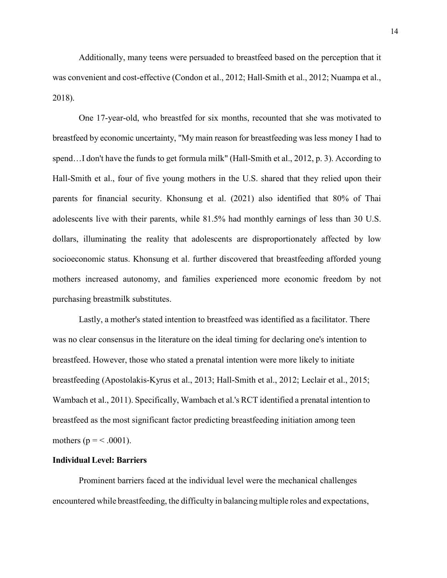Additionally, many teens were persuaded to breastfeed based on the perception that it was convenient and cost-effective (Condon et al., 2012; Hall-Smith et al., 2012; Nuampa et al., 2018).

One 17-year-old, who breastfed for six months, recounted that she was motivated to breastfeed by economic uncertainty, "My main reason for breastfeeding was less money I had to spend…I don't have the funds to get formula milk" (Hall-Smith et al., 2012, p. 3). According to Hall-Smith et al., four of five young mothers in the U.S. shared that they relied upon their parents for financial security. Khonsung et al. (2021) also identified that 80% of Thai adolescents live with their parents, while 81.5% had monthly earnings of less than 30 U.S. dollars, illuminating the reality that adolescents are disproportionately affected by low socioeconomic status. Khonsung et al. further discovered that breastfeeding afforded young mothers increased autonomy, and families experienced more economic freedom by not purchasing breastmilk substitutes.

Lastly, a mother's stated intention to breastfeed was identified as a facilitator. There was no clear consensus in the literature on the ideal timing for declaring one's intention to breastfeed. However, those who stated a prenatal intention were more likely to initiate breastfeeding (Apostolakis-Kyrus et al., 2013; Hall-Smith et al., 2012; Leclair et al., 2015; Wambach et al., 2011). Specifically, Wambach et al.'s RCT identified a prenatal intention to breastfeed as the most significant factor predicting breastfeeding initiation among teen mothers ( $p = < .0001$ ).

#### **Individual Level: Barriers**

Prominent barriers faced at the individual level were the mechanical challenges encountered while breastfeeding, the difficulty in balancing multiple roles and expectations,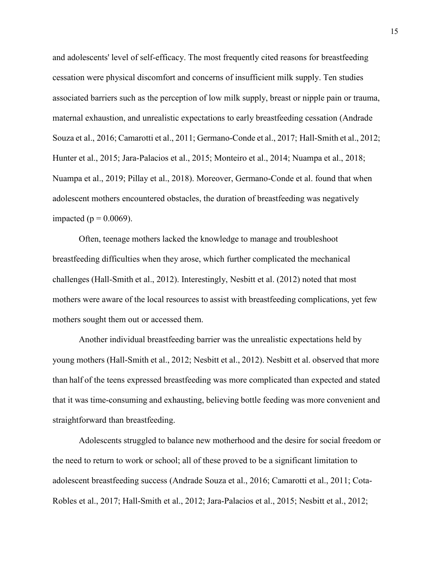and adolescents' level of self-efficacy. The most frequently cited reasons for breastfeeding cessation were physical discomfort and concerns of insufficient milk supply. Ten studies associated barriers such as the perception of low milk supply, breast or nipple pain or trauma, maternal exhaustion, and unrealistic expectations to early breastfeeding cessation (Andrade Souza et al., 2016; Camarotti et al., 2011; Germano-Conde et al., 2017; Hall-Smith et al., 2012; Hunter et al., 2015; Jara-Palacios et al., 2015; Monteiro et al., 2014; Nuampa et al., 2018; Nuampa et al., 2019; Pillay et al., 2018). Moreover, Germano-Conde et al. found that when adolescent mothers encountered obstacles, the duration of breastfeeding was negatively impacted ( $p = 0.0069$ ).

Often, teenage mothers lacked the knowledge to manage and troubleshoot breastfeeding difficulties when they arose, which further complicated the mechanical challenges (Hall-Smith et al., 2012). Interestingly, Nesbitt et al. (2012) noted that most mothers were aware of the local resources to assist with breastfeeding complications, yet few mothers sought them out or accessed them.

Another individual breastfeeding barrier was the unrealistic expectations held by young mothers (Hall-Smith et al., 2012; Nesbitt et al., 2012). Nesbitt et al. observed that more than half of the teens expressed breastfeeding was more complicated than expected and stated that it was time-consuming and exhausting, believing bottle feeding was more convenient and straightforward than breastfeeding.

Adolescents struggled to balance new motherhood and the desire for social freedom or the need to return to work or school; all of these proved to be a significant limitation to adolescent breastfeeding success (Andrade Souza et al., 2016; Camarotti et al., 2011; Cota-Robles et al., 2017; Hall-Smith et al., 2012; Jara-Palacios et al., 2015; Nesbitt et al., 2012;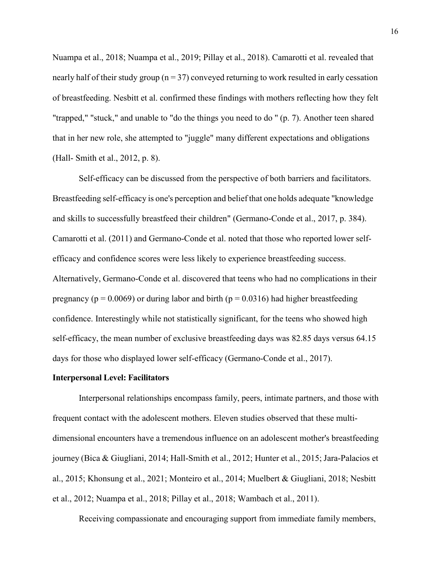Nuampa et al., 2018; Nuampa et al., 2019; Pillay et al., 2018). Camarotti et al. revealed that nearly half of their study group ( $n = 37$ ) conveyed returning to work resulted in early cessation of breastfeeding. Nesbitt et al. confirmed these findings with mothers reflecting how they felt "trapped," "stuck," and unable to "do the things you need to do '' (p. 7). Another teen shared that in her new role, she attempted to "juggle" many different expectations and obligations (Hall- Smith et al., 2012, p. 8).

Self-efficacy can be discussed from the perspective of both barriers and facilitators. Breastfeeding self-efficacy is one's perception and belief that one holds adequate "knowledge and skills to successfully breastfeed their children" (Germano-Conde et al., 2017, p. 384). Camarotti et al. (2011) and Germano-Conde et al. noted that those who reported lower selfefficacy and confidence scores were less likely to experience breastfeeding success. Alternatively, Germano-Conde et al. discovered that teens who had no complications in their pregnancy ( $p = 0.0069$ ) or during labor and birth ( $p = 0.0316$ ) had higher breastfeeding confidence. Interestingly while not statistically significant, for the teens who showed high self-efficacy, the mean number of exclusive breastfeeding days was 82.85 days versus 64.15 days for those who displayed lower self-efficacy (Germano-Conde et al., 2017).

#### **Interpersonal Level: Facilitators**

Interpersonal relationships encompass family, peers, intimate partners, and those with frequent contact with the adolescent mothers. Eleven studies observed that these multidimensional encounters have a tremendous influence on an adolescent mother's breastfeeding journey (Bica & Giugliani, 2014; Hall-Smith et al., 2012; Hunter et al., 2015; Jara-Palacios et al., 2015; Khonsung et al., 2021; Monteiro et al., 2014; Muelbert & Giugliani, 2018; Nesbitt et al., 2012; Nuampa et al., 2018; Pillay et al., 2018; Wambach et al., 2011).

Receiving compassionate and encouraging support from immediate family members,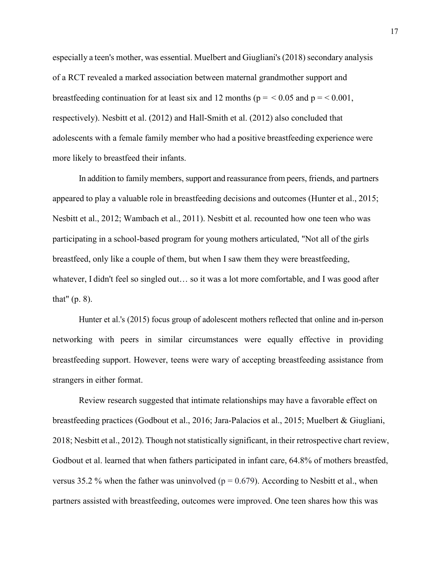especially a teen's mother, was essential. Muelbert and Giugliani's (2018) secondary analysis of a RCT revealed a marked association between maternal grandmother support and breastfeeding continuation for at least six and 12 months ( $p = 0.05$  and  $p = 0.001$ , respectively). Nesbitt et al. (2012) and Hall-Smith et al. (2012) also concluded that adolescents with a female family member who had a positive breastfeeding experience were more likely to breastfeed their infants.

In addition to family members, support and reassurance from peers, friends, and partners appeared to play a valuable role in breastfeeding decisions and outcomes (Hunter et al., 2015; Nesbitt et al., 2012; Wambach et al., 2011). Nesbitt et al. recounted how one teen who was participating in a school-based program for young mothers articulated, "Not all of the girls breastfeed, only like a couple of them, but when I saw them they were breastfeeding, whatever, I didn't feel so singled out… so it was a lot more comfortable, and I was good after that" (p. 8).

Hunter et al.'s (2015) focus group of adolescent mothers reflected that online and in-person networking with peers in similar circumstances were equally effective in providing breastfeeding support. However, teens were wary of accepting breastfeeding assistance from strangers in either format.

Review research suggested that intimate relationships may have a favorable effect on breastfeeding practices (Godbout et al., 2016; Jara-Palacios et al., 2015; Muelbert & Giugliani, 2018; Nesbitt et al., 2012). Though not statistically significant, in their retrospective chart review, Godbout et al. learned that when fathers participated in infant care, 64.8% of mothers breastfed, versus 35.2 % when the father was uninvolved ( $p = 0.679$ ). According to Nesbitt et al., when partners assisted with breastfeeding, outcomes were improved. One teen shares how this was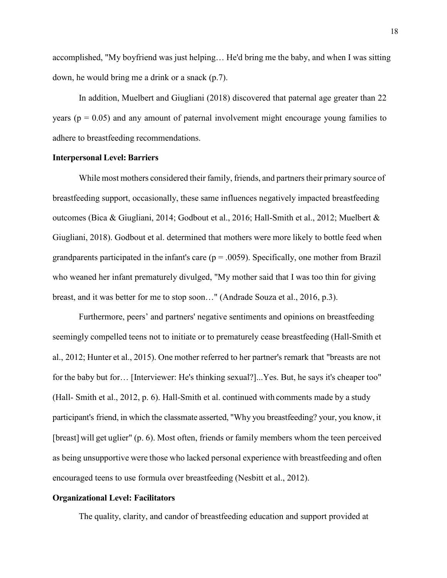accomplished, "My boyfriend was just helping… He'd bring me the baby, and when I was sitting down, he would bring me a drink or a snack (p.7).

In addition, Muelbert and Giugliani (2018) discovered that paternal age greater than 22 years ( $p = 0.05$ ) and any amount of paternal involvement might encourage young families to adhere to breastfeeding recommendations.

#### **Interpersonal Level: Barriers**

While most mothers considered their family, friends, and partners their primary source of breastfeeding support, occasionally, these same influences negatively impacted breastfeeding outcomes (Bica & Giugliani, 2014; Godbout et al., 2016; Hall-Smith et al., 2012; Muelbert & Giugliani, 2018). Godbout et al. determined that mothers were more likely to bottle feed when grandparents participated in the infant's care ( $p = .0059$ ). Specifically, one mother from Brazil who weaned her infant prematurely divulged, "My mother said that I was too thin for giving breast, and it was better for me to stop soon…" (Andrade Souza et al., 2016, p.3).

Furthermore, peers' and partners' negative sentiments and opinions on breastfeeding seemingly compelled teens not to initiate or to prematurely cease breastfeeding (Hall-Smith et al., 2012; Hunter et al., 2015). One mother referred to her partner's remark that "breasts are not for the baby but for… [Interviewer: He's thinking sexual?]...Yes. But, he says it's cheaper too" (Hall- Smith et al., 2012, p. 6). Hall-Smith et al. continued with comments made by a study participant's friend, in which the classmate asserted, "Why you breastfeeding? your, you know, it [breast] will get uglier" (p. 6). Most often, friends or family members whom the teen perceived as being unsupportive were those who lacked personal experience with breastfeeding and often encouraged teens to use formula over breastfeeding (Nesbitt et al., 2012).

## **Organizational Level: Facilitators**

The quality, clarity, and candor of breastfeeding education and support provided at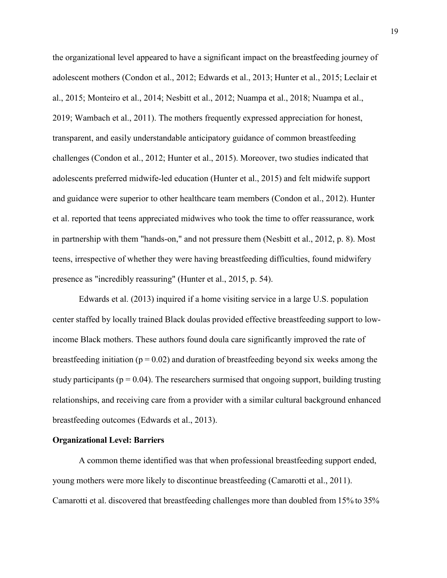the organizational level appeared to have a significant impact on the breastfeeding journey of adolescent mothers (Condon et al., 2012; Edwards et al., 2013; Hunter et al., 2015; Leclair et al., 2015; Monteiro et al., 2014; Nesbitt et al., 2012; Nuampa et al., 2018; Nuampa et al., 2019; Wambach et al., 2011). The mothers frequently expressed appreciation for honest, transparent, and easily understandable anticipatory guidance of common breastfeeding challenges (Condon et al., 2012; Hunter et al., 2015). Moreover, two studies indicated that adolescents preferred midwife-led education (Hunter et al., 2015) and felt midwife support and guidance were superior to other healthcare team members (Condon et al., 2012). Hunter et al. reported that teens appreciated midwives who took the time to offer reassurance, work in partnership with them "hands-on," and not pressure them (Nesbitt et al., 2012, p. 8). Most teens, irrespective of whether they were having breastfeeding difficulties, found midwifery presence as "incredibly reassuring" (Hunter et al., 2015, p. 54).

Edwards et al. (2013) inquired if a home visiting service in a large U.S. population center staffed by locally trained Black doulas provided effective breastfeeding support to lowincome Black mothers. These authors found doula care significantly improved the rate of breastfeeding initiation ( $p = 0.02$ ) and duration of breastfeeding beyond six weeks among the study participants ( $p = 0.04$ ). The researchers surmised that ongoing support, building trusting relationships, and receiving care from a provider with a similar cultural background enhanced breastfeeding outcomes (Edwards et al., 2013).

#### **Organizational Level: Barriers**

A common theme identified was that when professional breastfeeding support ended, young mothers were more likely to discontinue breastfeeding (Camarotti et al., 2011). Camarotti et al. discovered that breastfeeding challenges more than doubled from 15% to 35%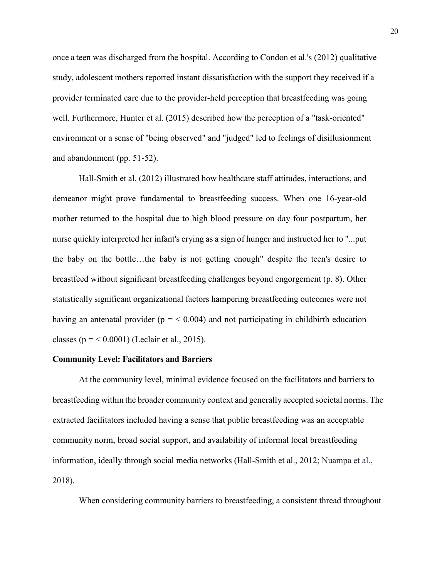once a teen was discharged from the hospital. According to Condon et al.'s (2012) qualitative study, adolescent mothers reported instant dissatisfaction with the support they received if a provider terminated care due to the provider-held perception that breastfeeding was going well. Furthermore, Hunter et al. (2015) described how the perception of a "task-oriented" environment or a sense of "being observed" and "judged" led to feelings of disillusionment and abandonment (pp. 51-52).

Hall-Smith et al. (2012) illustrated how healthcare staff attitudes, interactions, and demeanor might prove fundamental to breastfeeding success. When one 16-year-old mother returned to the hospital due to high blood pressure on day four postpartum, her nurse quickly interpreted her infant's crying as a sign of hunger and instructed her to "...put the baby on the bottle…the baby is not getting enough" despite the teen's desire to breastfeed without significant breastfeeding challenges beyond engorgement (p. 8). Other statistically significant organizational factors hampering breastfeeding outcomes were not having an antenatal provider ( $p = < 0.004$ ) and not participating in childbirth education classes ( $p = 0.0001$ ) (Leclair et al., 2015).

### **Community Level: Facilitators and Barriers**

At the community level, minimal evidence focused on the facilitators and barriers to breastfeeding within the broader community context and generally accepted societal norms. The extracted facilitators included having a sense that public breastfeeding was an acceptable community norm, broad social support, and availability of informal local breastfeeding information, ideally through social media networks (Hall-Smith et al., 2012; Nuampa et al., 2018).

When considering community barriers to breastfeeding, a consistent thread throughout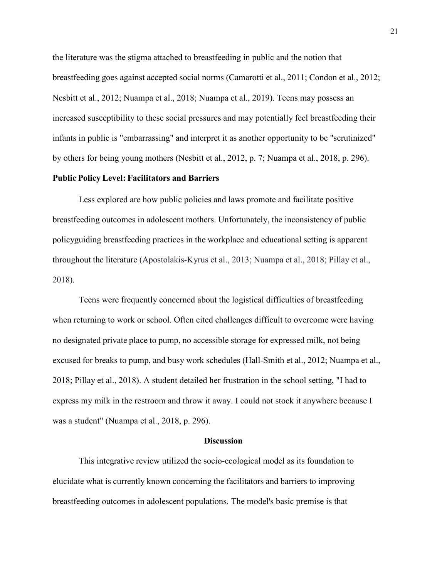the literature was the stigma attached to breastfeeding in public and the notion that breastfeeding goes against accepted social norms (Camarotti et al., 2011; Condon et al., 2012; Nesbitt et al., 2012; Nuampa et al., 2018; Nuampa et al., 2019). Teens may possess an increased susceptibility to these social pressures and may potentially feel breastfeeding their infants in public is "embarrassing" and interpret it as another opportunity to be "scrutinized" by others for being young mothers (Nesbitt et al., 2012, p. 7; Nuampa et al., 2018, p. 296).

### **Public Policy Level: Facilitators and Barriers**

Less explored are how public policies and laws promote and facilitate positive breastfeeding outcomes in adolescent mothers. Unfortunately, the inconsistency of public policyguiding breastfeeding practices in the workplace and educational setting is apparent throughout the literature (Apostolakis-Kyrus et al., 2013; Nuampa et al., 2018; Pillay et al., 2018).

Teens were frequently concerned about the logistical difficulties of breastfeeding when returning to work or school. Often cited challenges difficult to overcome were having no designated private place to pump, no accessible storage for expressed milk, not being excused for breaks to pump, and busy work schedules (Hall-Smith et al., 2012; Nuampa et al., 2018; Pillay et al., 2018). A student detailed her frustration in the school setting, "I had to express my milk in the restroom and throw it away. I could not stock it anywhere because I was a student" (Nuampa et al., 2018, p. 296).

#### **Discussion**

This integrative review utilized the socio-ecological model as its foundation to elucidate what is currently known concerning the facilitators and barriers to improving breastfeeding outcomes in adolescent populations. The model's basic premise is that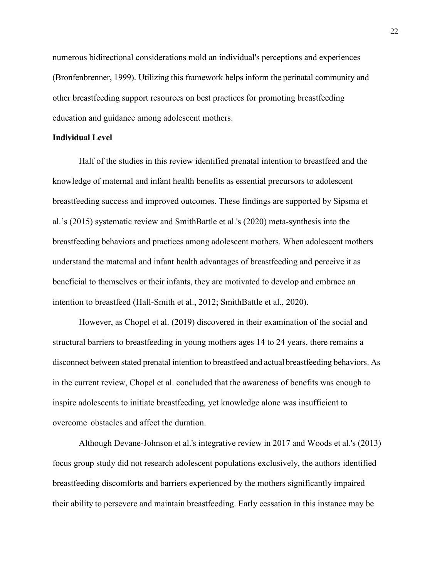numerous bidirectional considerations mold an individual's perceptions and experiences (Bronfenbrenner, 1999). Utilizing this framework helps inform the perinatal community and other breastfeeding support resources on best practices for promoting breastfeeding education and guidance among adolescent mothers.

#### **Individual Level**

Half of the studies in this review identified prenatal intention to breastfeed and the knowledge of maternal and infant health benefits as essential precursors to adolescent breastfeeding success and improved outcomes. These findings are supported by Sipsma et al.'s (2015) systematic review and SmithBattle et al.'s (2020) meta-synthesis into the breastfeeding behaviors and practices among adolescent mothers. When adolescent mothers understand the maternal and infant health advantages of breastfeeding and perceive it as beneficial to themselves or their infants, they are motivated to develop and embrace an intention to breastfeed (Hall-Smith et al., 2012; SmithBattle et al., 2020).

However, as Chopel et al. (2019) discovered in their examination of the social and structural barriers to breastfeeding in young mothers ages 14 to 24 years, there remains a disconnect between stated prenatal intention to breastfeed and actualbreastfeeding behaviors. As in the current review, Chopel et al. concluded that the awareness of benefits was enough to inspire adolescents to initiate breastfeeding, yet knowledge alone was insufficient to overcome obstacles and affect the duration.

Although Devane-Johnson et al.'s integrative review in 2017 and Woods et al.'s (2013) focus group study did not research adolescent populations exclusively, the authors identified breastfeeding discomforts and barriers experienced by the mothers significantly impaired their ability to persevere and maintain breastfeeding. Early cessation in this instance may be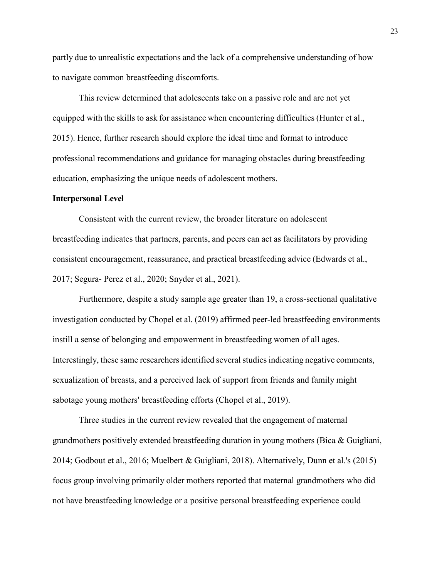partly due to unrealistic expectations and the lack of a comprehensive understanding of how to navigate common breastfeeding discomforts.

This review determined that adolescents take on a passive role and are not yet equipped with the skills to ask for assistance when encountering difficulties (Hunter et al., 2015). Hence, further research should explore the ideal time and format to introduce professional recommendations and guidance for managing obstacles during breastfeeding education, emphasizing the unique needs of adolescent mothers.

#### **Interpersonal Level**

Consistent with the current review, the broader literature on adolescent breastfeeding indicates that partners, parents, and peers can act as facilitators by providing consistent encouragement, reassurance, and practical breastfeeding advice (Edwards et al., 2017; Segura- Perez et al., 2020; Snyder et al., 2021).

Furthermore, despite a study sample age greater than 19, a cross-sectional qualitative investigation conducted by Chopel et al. (2019) affirmed peer-led breastfeeding environments instill a sense of belonging and empowerment in breastfeeding women of all ages. Interestingly, these same researchersidentified several studies indicating negative comments, sexualization of breasts, and a perceived lack of support from friends and family might sabotage young mothers' breastfeeding efforts (Chopel et al., 2019).

Three studies in the current review revealed that the engagement of maternal grandmothers positively extended breastfeeding duration in young mothers (Bica & Guigliani, 2014; Godbout et al., 2016; Muelbert & Guigliani, 2018). Alternatively, Dunn et al.'s (2015) focus group involving primarily older mothers reported that maternal grandmothers who did not have breastfeeding knowledge or a positive personal breastfeeding experience could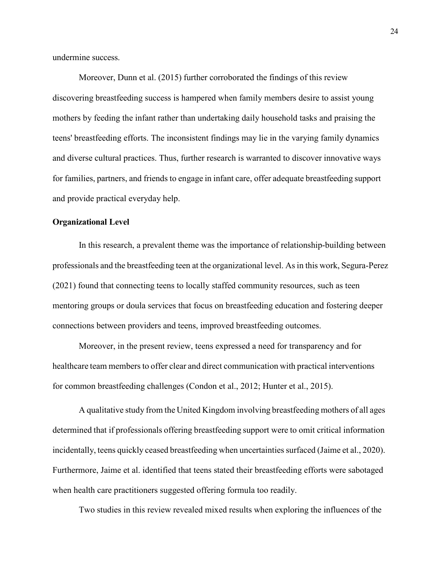undermine success.

Moreover, Dunn et al. (2015) further corroborated the findings of this review discovering breastfeeding success is hampered when family members desire to assist young mothers by feeding the infant rather than undertaking daily household tasks and praising the teens' breastfeeding efforts. The inconsistent findings may lie in the varying family dynamics and diverse cultural practices. Thus, further research is warranted to discover innovative ways for families, partners, and friends to engage in infant care, offer adequate breastfeeding support and provide practical everyday help.

#### **Organizational Level**

In this research, a prevalent theme was the importance of relationship-building between professionals and the breastfeeding teen at the organizational level. Asin this work, Segura-Perez (2021) found that connecting teens to locally staffed community resources, such as teen mentoring groups or doula services that focus on breastfeeding education and fostering deeper connections between providers and teens, improved breastfeeding outcomes.

Moreover, in the present review, teens expressed a need for transparency and for healthcare team members to offer clear and direct communication with practical interventions for common breastfeeding challenges (Condon et al., 2012; Hunter et al., 2015).

A qualitative study from the United Kingdom involving breastfeeding mothers of all ages determined that if professionals offering breastfeeding support were to omit critical information incidentally, teens quickly ceased breastfeeding when uncertainties surfaced (Jaime et al., 2020). Furthermore, Jaime et al. identified that teens stated their breastfeeding efforts were sabotaged when health care practitioners suggested offering formula too readily.

Two studies in this review revealed mixed results when exploring the influences of the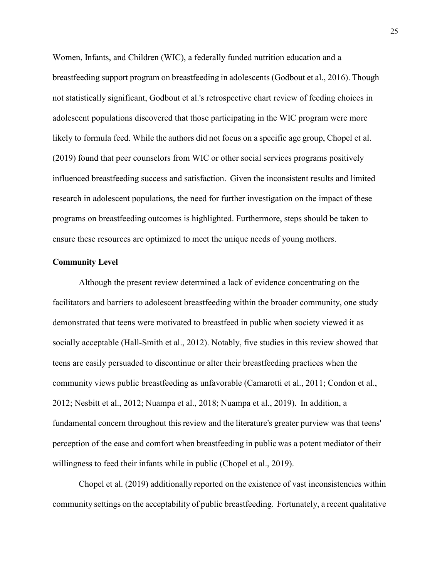Women, Infants, and Children (WIC), a federally funded nutrition education and a breastfeeding support program on breastfeeding in adolescents (Godbout et al., 2016). Though not statistically significant, Godbout et al.'s retrospective chart review of feeding choices in adolescent populations discovered that those participating in the WIC program were more likely to formula feed. While the authors did not focus on a specific age group, Chopel et al. (2019) found that peer counselors from WIC or other social services programs positively influenced breastfeeding success and satisfaction. Given the inconsistent results and limited research in adolescent populations, the need for further investigation on the impact of these programs on breastfeeding outcomes is highlighted. Furthermore, steps should be taken to ensure these resources are optimized to meet the unique needs of young mothers.

#### **Community Level**

Although the present review determined a lack of evidence concentrating on the facilitators and barriers to adolescent breastfeeding within the broader community, one study demonstrated that teens were motivated to breastfeed in public when society viewed it as socially acceptable (Hall-Smith et al., 2012). Notably, five studies in this review showed that teens are easily persuaded to discontinue or alter their breastfeeding practices when the community views public breastfeeding as unfavorable (Camarotti et al., 2011; Condon et al., 2012; Nesbitt et al., 2012; Nuampa et al., 2018; Nuampa et al., 2019). In addition, a fundamental concern throughout this review and the literature's greater purview was that teens' perception of the ease and comfort when breastfeeding in public was a potent mediator of their willingness to feed their infants while in public (Chopel et al., 2019).

Chopel et al. (2019) additionally reported on the existence of vast inconsistencies within community settings on the acceptability of public breastfeeding. Fortunately, a recent qualitative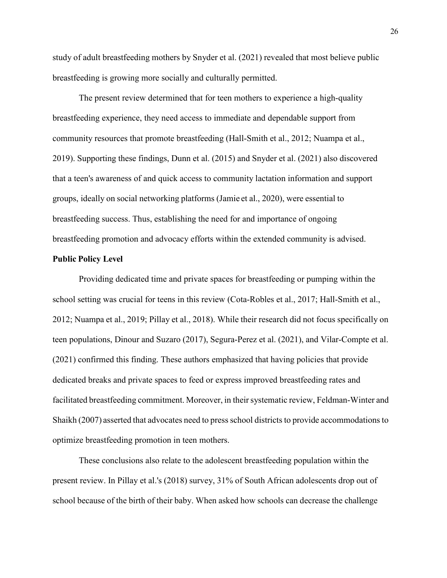study of adult breastfeeding mothers by Snyder et al. (2021) revealed that most believe public breastfeeding is growing more socially and culturally permitted.

The present review determined that for teen mothers to experience a high-quality breastfeeding experience, they need access to immediate and dependable support from community resources that promote breastfeeding (Hall-Smith et al., 2012; Nuampa et al., 2019). Supporting these findings, Dunn et al. (2015) and Snyder et al. (2021) also discovered that a teen's awareness of and quick access to community lactation information and support groups, ideally on social networking platforms (Jamie et al., 2020), were essential to breastfeeding success. Thus, establishing the need for and importance of ongoing breastfeeding promotion and advocacy efforts within the extended community is advised.

### **Public Policy Level**

Providing dedicated time and private spaces for breastfeeding or pumping within the school setting was crucial for teens in this review (Cota-Robles et al., 2017; Hall-Smith et al., 2012; Nuampa et al., 2019; Pillay et al., 2018). While their research did not focus specifically on teen populations, Dinour and Suzaro (2017), Segura-Perez et al. (2021), and Vilar-Compte et al. (2021) confirmed this finding. These authors emphasized that having policies that provide dedicated breaks and private spaces to feed or express improved breastfeeding rates and facilitated breastfeeding commitment. Moreover, in their systematic review, Feldman-Winter and Shaikh (2007) asserted that advocates need to press school districts to provide accommodations to optimize breastfeeding promotion in teen mothers.

These conclusions also relate to the adolescent breastfeeding population within the present review. In Pillay et al.'s (2018) survey, 31% of South African adolescents drop out of school because of the birth of their baby. When asked how schools can decrease the challenge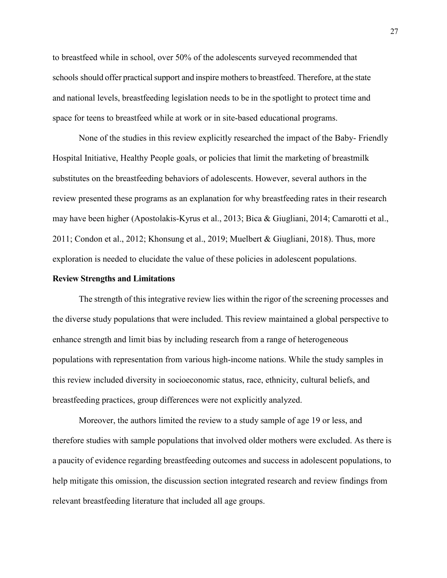to breastfeed while in school, over 50% of the adolescents surveyed recommended that schools should offer practical support and inspire mothers to breastfeed. Therefore, at the state and national levels, breastfeeding legislation needs to be in the spotlight to protect time and space for teens to breastfeed while at work or in site-based educational programs.

None of the studies in this review explicitly researched the impact of the Baby- Friendly Hospital Initiative, Healthy People goals, or policies that limit the marketing of breastmilk substitutes on the breastfeeding behaviors of adolescents. However, several authors in the review presented these programs as an explanation for why breastfeeding rates in their research may have been higher (Apostolakis-Kyrus et al., 2013; Bica & Giugliani, 2014; Camarotti et al., 2011; Condon et al., 2012; Khonsung et al., 2019; Muelbert & Giugliani, 2018). Thus, more exploration is needed to elucidate the value of these policies in adolescent populations.

#### **Review Strengths and Limitations**

The strength of this integrative review lies within the rigor of the screening processes and the diverse study populations that were included. This review maintained a global perspective to enhance strength and limit bias by including research from a range of heterogeneous populations with representation from various high-income nations. While the study samples in this review included diversity in socioeconomic status, race, ethnicity, cultural beliefs, and breastfeeding practices, group differences were not explicitly analyzed.

Moreover, the authors limited the review to a study sample of age 19 or less, and therefore studies with sample populations that involved older mothers were excluded. As there is a paucity of evidence regarding breastfeeding outcomes and success in adolescent populations, to help mitigate this omission, the discussion section integrated research and review findings from relevant breastfeeding literature that included all age groups.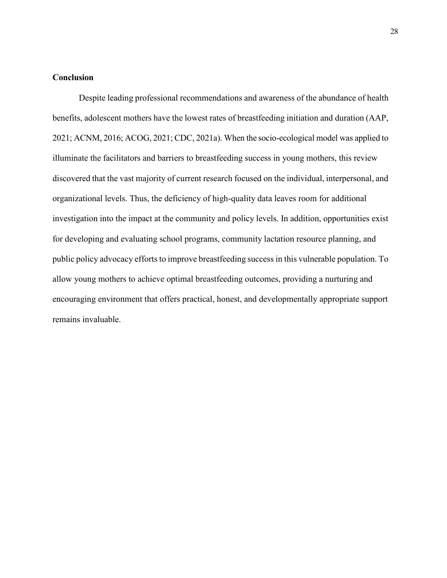## **Conclusion**

Despite leading professional recommendations and awareness of the abundance of health benefits, adolescent mothers have the lowest rates of breastfeeding initiation and duration (AAP, 2021; ACNM, 2016; ACOG, 2021; CDC, 2021a). When the socio-ecological model was applied to illuminate the facilitators and barriers to breastfeeding success in young mothers, this review discovered that the vast majority of current research focused on the individual, interpersonal, and organizational levels. Thus, the deficiency of high-quality data leaves room for additional investigation into the impact at the community and policy levels. In addition, opportunities exist for developing and evaluating school programs, community lactation resource planning, and public policy advocacy efforts to improve breastfeeding success in this vulnerable population. To allow young mothers to achieve optimal breastfeeding outcomes, providing a nurturing and encouraging environment that offers practical, honest, and developmentally appropriate support remains invaluable.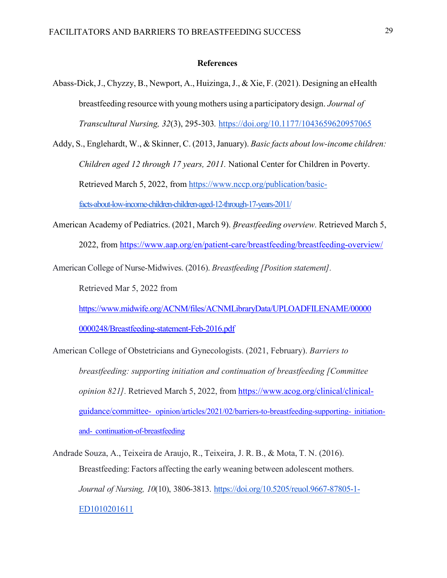#### **References**

- Abass-Dick, J., Chyzzy, B., Newport, A., Huizinga, J., & Xie, F. (2021). Designing an eHealth breastfeeding resource with young mothers using a participatory design. *Journal of Transcultural Nursing, 32*(3), 295-303*.* https://doi.org/10.1177/1043659620957065
- Addy, S., Englehardt, W., & Skinner, C. (2013, January). *Basic facts about low-income children: Children aged 12 through 17 years, 2011.* National Center for Children in Poverty. Retrieved March 5, 2022, from [https://www.nccp.org/publication/basic](http://www.nccp.org/publication/basic-)facts-about-low-income-children-children-aged-12-through-17-years-2011/
- American Academy of Pediatrics. (2021, March 9). *Breastfeeding overview.* Retrieved March 5, 2022, from [https://www.aap.org/en/patient-ca](http://www.aap.org/en/patient-care/breastfeeding/breastfeeding-overview/)re/bre[astfeeding/breastfeeding-overview/](http://www.aap.org/en/patient-care/breastfeeding/breastfeeding-overview/)

American College of Nurse-Midwives. (2016). *Breastfeeding [Position statement].*

Retrieved Mar 5, 2022 from

[https://www.mi](http://www.midwife.org/ACNM/files/ACNMLibraryData/UPLOADFILENAME/00000)d[wife.org/ACNM/files/ACNMLibraryData/UPLOADFILENAME/00000](http://www.midwife.org/ACNM/files/ACNMLibraryData/UPLOADFILENAME/00000)

0000248/Breastfeeding-statement-Feb-2016.pdf

American College of Obstetricians and Gynecologists. (2021, February). *Barriers to breastfeeding: supporting initiation and continuation of breastfeeding [Committee opinion 821].* Retrieved March 5, 2022, from [https://www.acog.org/clinical/clinical](http://www.acog.org/clinical/clinical-)guidance/committee- opinion/articles/2021/02/barriers-to-breastfeeding-supporting- initiationand- continuation-of-breastfeeding

Andrade Souza, A., Teixeira de Araujo, R., Teixeira, J. R. B., & Mota, T. N. (2016). Breastfeeding: Factors affecting the early weaning between adolescent mothers. *Journal of Nursing, 10*(10), 3806-3813. https://doi.org/10.5205/reuol.9667-87805-1- ED1010201611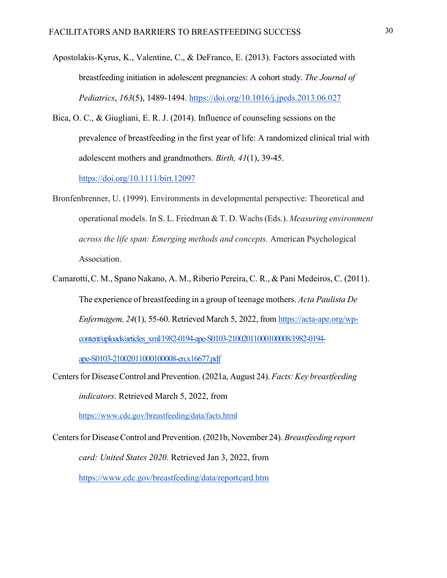Apostolakis-Kyrus, K., Valentine, C., & DeFranco, E. (2013). Factors associated with breastfeeding initiation in adolescent pregnancies: A cohort study. *The Journal of Pediatrics*, *163*(5), 1489-1494. https://doi.org/10.1016/j.jpeds.2013.06.027

Bica, O. C., & Giugliani, E. R. J. (2014). Influence of counseling sessions on the prevalence of breastfeeding in the first year of life: A randomized clinical trial with adolescent mothers and grandmothers. *Birth, 41*(1), 39-45. https://doi.org/10.1111/birt.12097

Bronfenbrenner, U. (1999). Environments in developmental perspective: Theoretical and operational models. In S. L. Friedman & T. D. Wachs(Eds.). *Measuring environment across the life span: Emerging methods and concepts.* American Psychological Association.

Camarotti,C. M., Spano Nakano, A. M., Riberio Pereira, C. R., & Pani Medeiros, C. (2011). The experience of breastfeeding in a group of teenage mothers. *Acta Paulista De Enfermagem, 24*(1), 55-60. Retrieved March 5, 2022, from https://acta-ape.org/wpcontent/uploads/articles\_xml/1982-0194-ape-S0103-21002011000100008/1982-0194-

ape-S0103-21002011000100008-en.x16677.pdf

Centers for Disease Control and Prevention. (2021a, August 24). *Facts: Key breastfeeding indicators*. Retrieved March 5, 2022, from [https://www.cdc.gov/breastfe](http://www.cdc.gov/breastfeeding/data/facts.html)eding/[data/facts.html](http://www.cdc.gov/breastfeeding/data/facts.html)

Centers for Disease Control and Prevention. (2021b, November 24). *Breastfeeding report card: United States 2020.* Retrieved Jan 3, 2022, from [https://www.cdc.gov/breas](http://www.cdc.gov/breastfeeding/data/reportcard.htm)tfee[ding/data/reportcard.htm](http://www.cdc.gov/breastfeeding/data/reportcard.htm)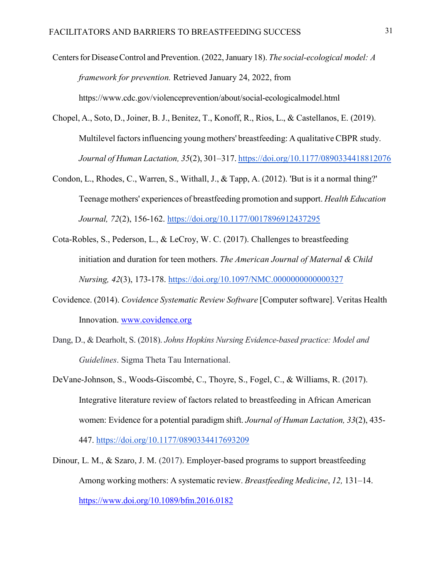Centers for Disease Control and Prevention. (2022, January 18). *The social-ecological model: A framework for prevention.* Retrieved January 24, 2022, from [https://www.cdc.gov/violencepreven](http://www.cdc.gov/violenceprevention/about/social-ecologicalmodel.html)t[ion/about/social-ecologicalmodel.htm](http://www.cdc.gov/violenceprevention/about/social-ecologicalmodel.html)l

- Chopel, A., Soto, D., Joiner, B. J., Benitez, T., Konoff, R., Rios, L., & Castellanos, E. (2019). Multilevel factors influencing young mothers' breastfeeding: A qualitative CBPR study. *Journal of Human Lactation, 35*(2), 301–317. https://doi.org/10.1177/0890334418812076
- Condon, L., Rhodes, C., Warren, S., Withall, J., & Tapp, A. (2012). 'But is it a normal thing?' Teenage mothers' experiences of breastfeeding promotion and support. *Health Education Journal, 72*(2), 156-162. https://doi.org/10.1177/0017896912437295
- Cota-Robles, S., Pederson, L., & LeCroy, W. C. (2017). Challenges to breastfeeding initiation and duration for teen mothers. *The American Journal of Maternal & Child Nursing, 42*(3), 173-178. https://doi.org/10.1097/NMC.0000000000000327
- Covidence. (2014). *Covidence Systematic Review Software* [Computer software]. Veritas Health Innovation. [www.covidence.org](http://www.covidence.org/)
- Dang, D., & Dearholt, S. (2018). *Johns Hopkins Nursing Evidence-based practice: Model and Guidelines*. Sigma Theta Tau International.
- DeVane-Johnson, S., Woods-Giscombé, C., Thoyre, S., Fogel, C., & Williams, R. (2017). Integrative literature review of factors related to breastfeeding in African American women: Evidence for a potential paradigm shift. *Journal of Human Lactation, 33*(2), 435- 447. https://doi.org/10.1177/0890334417693209
- Dinour, L. M., & Szaro, J. M. (2017). Employer-based programs to support breastfeeding Among working mothers: A systematic review. *Breastfeeding Medicine*, *12,* 131–14. [https://www.doi.org/10.1089/bfm.2016.0182](http://www.doi.org/10.1089/bfm.2016.0182)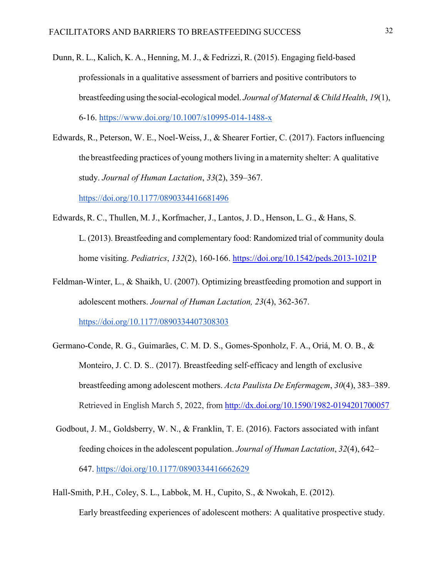- Dunn, R. L., Kalich, K. A., Henning, M. J., & Fedrizzi, R. (2015). Engaging field-based professionals in a qualitative assessment of barriers and positive contributors to breastfeeding using the social-ecological model. *Journal of Maternal & Child Health*, *19*(1), 6-16. [https://www.doi.org/10.1007/s10995-014-1488-x](http://www.doi.org/10.1007/s10995-014-1488-x)
- Edwards, R., Peterson, W. E., Noel-Weiss, J., & Shearer Fortier, C. (2017). Factors influencing the breastfeeding practices of young mothers living in a maternity shelter: A qualitative study. *Journal of Human Lactation*, *33*(2), 359–367.

https://doi.org/10.1177/0890334416681496

Edwards, R. C., Thullen, M. J., Korfmacher, J., Lantos, J. D., Henson, L. G., & Hans, S.

L. (2013). Breastfeeding and complementary food: Randomized trial of community doula home visiting. *Pediatrics*, *132*(2), 160-166. https://doi.org/10.1542/peds.2013-1021P

- Feldman-Winter, L., & Shaikh, U. (2007). Optimizing breastfeeding promotion and support in adolescent mothers. *Journal of Human Lactation, 23*(4), 362-367. https://doi.org/10.1177/0890334407308303
- Germano-Conde, R. G., Guimarães, C. M. D. S., Gomes-Sponholz, F. A., Oriá, M. O. B., & Monteiro, J. C. D. S.. (2017). Breastfeeding self-efficacy and length of exclusive breastfeeding among adolescent mothers. *Acta Paulista De Enfermagem*, *30*(4), 383–389. Retrieved in English March 5, 2022, from<http://dx.doi.org/10.1590/1982-0194201700057>
- Godbout, J. M., Goldsberry, W. N., & Franklin, T. E. (2016). Factors associated with infant feeding choices in the adolescent population. *Journal of Human Lactation*, *32*(4), 642– 647. https://doi.org/10.1177/0890334416662629
- Hall-Smith, P.H., Coley, S. L., Labbok, M. H., Cupito, S., & Nwokah, E. (2012). Early breastfeeding experiences of adolescent mothers: A qualitative prospective study.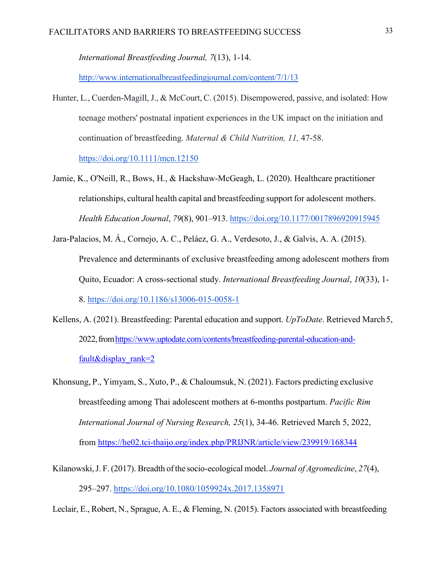*International Breastfeeding Journal, 7*(13), 1-14.

<http://www.internationalbreastfeedingjournal.com/content/7/1/13>

- Hunter, L., Cuerden-Magill, J., & McCourt, C. (2015). Disempowered, passive, and isolated: How teenage mothers' postnatal inpatient experiences in the UK impact on the initiation and continuation of breastfeeding. *Maternal & Child Nutrition, 11,* 47-58. https://doi.org/10.1111/mcn.12150
- Jamie, K., O'Neill, R., Bows, H., & Hackshaw-McGeagh, L. (2020). Healthcare practitioner relationships, cultural health capital and breastfeeding support for adolescent mothers. *Health Education Journal*, *79*(8), 901–913. https://doi.org/10.1177/0017896920915945
- Jara-Palacios, M. Á., Cornejo, A. C., Peláez, G. A., Verdesoto, J., & Galvis, A. A. (2015). Prevalence and determinants of exclusive breastfeeding among adolescent mothers from Quito, Ecuador: A cross-sectional study. *International Breastfeeding Journal*, *10*(33), 1- 8. https://doi.org/10.1186/s13006-015-0058-1
- Kellens, A. (2021). Breastfeeding: Parental education and support. *UpToDate*. Retrieved March 5, 2022, from https://www.uptodate.com/contents/breastfeeding-parental-education-andfault&display\_rank=2
- Khonsung, P., Yimyam, S., Xuto, P., & Chaloumsuk, N. (2021). Factors predicting exclusive breastfeeding among Thai adolescent mothers at 6-months postpartum. *Pacific Rim International Journal of Nursing Research, 25*(1), 34-46. Retrieved March 5, 2022, from https://he02.tci-thaijo.org/index.php/PRIJNR/article/view/239919/168344
- Kilanowski,J. F. (2017). Breadth of the socio-ecological model. *Journal of Agromedicine*, *27*(4), 295–297. https://doi.org/10.1080/1059924x.2017.1358971

Leclair, E., Robert, N., Sprague, A. E., & Fleming, N. (2015). Factors associated with breastfeeding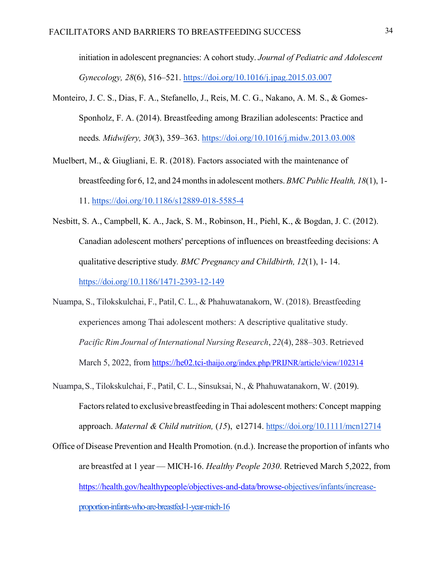initiation in adolescent pregnancies: A cohort study. *Journal of Pediatric and Adolescent Gynecology, 28*(6), 516–521. https://doi.org/10.1016/j.jpag.2015.03.007

- Monteiro, J. C. S., Dias, F. A., Stefanello, J., Reis, M. C. G., Nakano, A. M. S., & Gomes-Sponholz, F. A. (2014). Breastfeeding among Brazilian adolescents: Practice and needs*. Midwifery, 30*(3), 359–363. https://doi.org/10.1016/j.midw.2013.03.008
- Muelbert, M., & Giugliani, E. R. (2018). Factors associated with the maintenance of breastfeeding for 6, 12, and 24 monthsin adolescent mothers. *BMC Public Health, 18*(1), 1- 11. https://doi.org/10.1186/s12889-018-5585-4
- Nesbitt, S. A., Campbell, K. A., Jack, S. M., Robinson, H., Piehl, K., & Bogdan, J. C. (2012). Canadian adolescent mothers' perceptions of influences on breastfeeding decisions: A qualitative descriptive study*. BMC Pregnancy and Childbirth, 12*(1), 1- 14. https://doi.org/10.1186/1471-2393-12-149
- Nuampa, S., Tilokskulchai, F., Patil, C. L., & Phahuwatanakorn, W. (2018). Breastfeeding experiences among Thai adolescent mothers: A descriptive qualitative study. *Pacific Rim Journal of International Nursing Research*, *22*(4), 288–303. Retrieved March 5, 2022, from https://he02.tci-thaijo.org/index.php/PRIJNR/article/view/102314
- Nuampa,S., Tilokskulchai, F., Patil, C. L., Sinsuksai, N., & Phahuwatanakorn, W. (2019). Factors related to exclusive breastfeeding in Thai adolescent mothers: Concept mapping approach. *Maternal & Child nutrition,* (*15*), e12714. https://doi.org/10.1111/mcn12714
- Office of Disease Prevention and Health Promotion. (n.d.). Increase the proportion of infants who are breastfed at 1 year — MICH‑16. *Healthy People 2030*. Retrieved March 5,2022, from https://health.gov/healthypeople/objectives-and-data/browse-objectives/infants/increaseproportion-infants-who-are-breastfed-1-year-mich-16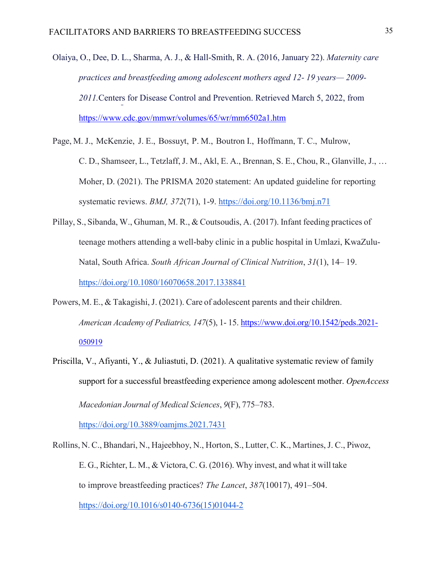Olaiya, O., Dee, D. L., Sharma, A. J., & Hall-Smith, R. A. (2016, January 22). *Maternity care practices and breastfeeding among adolescent mothers aged 12- 19 years— 2009- 2011.*Centers for Disease Control and Prevention. Retrieved March 5, 2022, from [https://www.cdc.gov/mmwr/volumes/65/wr/mm6502a1.htm](http://www.cdc.gov/mmwr/volumes/65/wr/mm6502a1.htm)

- Page, M. J., McKenzie, J. E., Bossuyt, P. M., Boutron I., Hoffmann, T. C., Mulrow, C. D., Shamseer, L., Tetzlaff, J. M., Akl, E. A., Brennan, S. E., Chou, R., Glanville, J., … Moher, D. (2021). The PRISMA 2020 statement: An updated guideline for reporting systematic reviews. *BMJ, 372*(71), 1-9. https://doi.org/10.1136/bmj.n71
- Pillay, S., Sibanda, W., Ghuman, M. R., & Coutsoudis, A. (2017). Infant feeding practices of teenage mothers attending a well-baby clinic in a public hospital in Umlazi, KwaZulu-Natal, South Africa. *South African Journal of Clinical Nutrition*, *31*(1), 14– 19. https://doi.org/10.1080/16070658.2017.1338841
- Powers, M. E., & Takagishi, J. (2021). Care of adolescent parents and their children. *American Academy of Pediatrics, 147*(5), 1- 15. [https://www.doi.org/10.1542/peds.2021-](http://www.doi.org/10.1542/peds.2021-) 050919
- Priscilla, V., Afiyanti, Y., & Juliastuti, D. (2021). A qualitative systematic review of family support for a successful breastfeeding experience among adolescent mother. *OpenAccess Macedonian Journal of Medical Sciences*, *9*(F), 775–783.

https://doi.org/10.3889/oamjms.2021.7431

Rollins, N. C., Bhandari, N., Hajeebhoy, N., Horton, S., Lutter, C. K., Martines,J. C., Piwoz, E. G., Richter, L. M., & Victora, C. G. (2016). Why invest, and what it will take to improve breastfeeding practices? *The Lancet*, *387*(10017), 491–504. https://doi.org/10.1016/s0140-6736(15)01044-2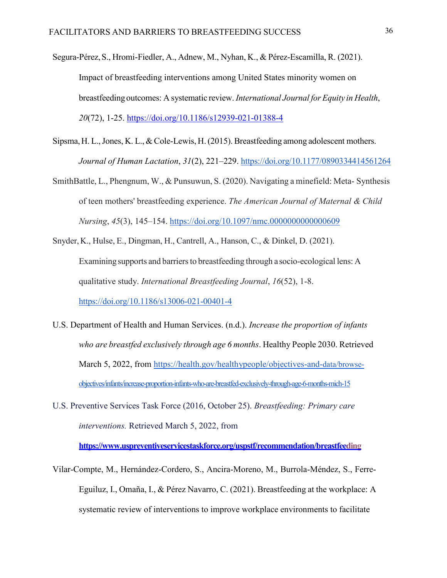- Segura-Pérez,S., Hromi-Fiedler, A., Adnew, M., Nyhan, K., & Pérez-Escamilla, R. (2021). Impact of breastfeeding interventions among United States minority women on breastfeeding outcomes: A systematic review. *International Journal for Equity in Health*, *20*(72), 1-25. https://doi.org/10.1186/s12939-021-01388-4
- Sipsma,H. L.,Jones, K. L., & Cole-Lewis, H.(2015). Breastfeeding among adolescent mothers. *Journal of Human Lactation*, *31*(2), 221–229. https://doi.org/10.1177/0890334414561264
- SmithBattle, L., Phengnum, W., & Punsuwun, S. (2020). Navigating a minefield: Meta- Synthesis of teen mothers' breastfeeding experience. *The American Journal of Maternal & Child Nursing*, *45*(3), 145–154. https://doi.org/10.1097/nmc.0000000000000609
- Snyder, K., Hulse, E., Dingman, H., Cantrell, A., Hanson, C., & Dinkel, D. (2021). Examining supports and barriers to breastfeeding through a socio-ecological lens: A qualitative study. *International Breastfeeding Journal*, *16*(52), 1-8. https://doi.org/10.1186/s13006-021-00401-4
- U.S. Department of Health and Human Services. (n.d.). *Increase the proportion of infants who are breastfed exclusively through age 6 months*. Healthy People 2030. Retrieved March 5, 2022, from https://health.gov/healthypeople/objectives-and-data/browseobjectives/infants/increase-proportion-infants-who-are-breastfed-exclusively-through-age-6-months-mich-15
- U.S. Preventive Services Task Force (2016, October 25). *Breastfeeding: Primary care interventions.* Retrieved March 5, 2022, from

**[https://www.uspreventiveservicestask](http://www.uspreventiveservicestaskforce.org/uspstf/recommendation/breastfeeding)f[orce.org/uspstf/recommendation/breastfeed](http://www.uspreventiveservicestaskforce.org/uspstf/recommendation/breastfeeding)ing**

Vilar-Compte, M., Hernández-Cordero, S., Ancira-Moreno, M., Burrola-Méndez, S., Ferre-Eguiluz, I., Omaña, I., & Pérez Navarro, C. (2021). Breastfeeding at the workplace: A systematic review of interventions to improve workplace environments to facilitate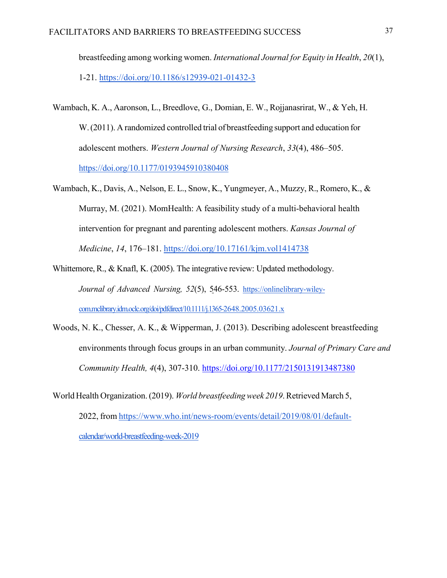breastfeeding among working women. *International Journal for Equity in Health*, *20*(1), 1-21. https://doi.org/10.1186/s12939-021-01432-3

- Wambach, K. A., Aaronson, L., Breedlove, G., Domian, E. W., Rojjanasrirat, W., & Yeh, H. W.(2011). A randomized controlled trial of breastfeeding support and education for adolescent mothers. *Western Journal of Nursing Research*, *33*(4), 486–505. https://doi.org/10.1177/0193945910380408
- Wambach, K., Davis, A., Nelson, E. L., Snow, K., Yungmeyer, A., Muzzy, R., Romero, K., & Murray, M. (2021). MomHealth: A feasibility study of a multi-behavioral health intervention for pregnant and parenting adolescent mothers. *Kansas Journal of Medicine*, *14*, 176–181. https://doi.org/10.17161/kjm.vol1414738
- Whittemore, R., & Knafl, K. (2005). The integrative review: Updated methodology. *Journal of Advanced Nursing, 52*(5), 546-553. https://onlinelibrary-wileycom.mclibrary.idm.oclc.org/doi/pdfdirect/10.1111/j.1365-2648.2005.03621.x
- Woods, N. K., Chesser, A. K., & Wipperman, J. (2013). Describing adolescent breastfeeding environments through focus groups in an urban community. *Journal of Primary Care and Community Health, 4*(4), 307-310. https://doi.org/10.1177/2150131913487380
- World Health Organization.(2019). *World breastfeedingweek 2019*. Retrieved March 5, 2022, from https:/[/www.who.int/news-room/events/detail/2019/08/01/default](http://www.who.int/news-room/events/detail/2019/08/01/default-)calendar/world-breastfeeding-week-2019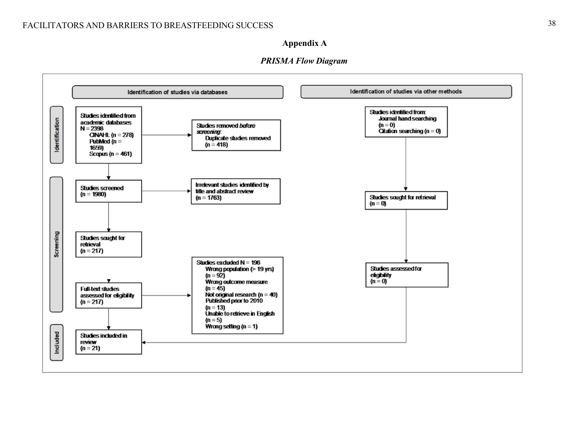## **Appendix A**



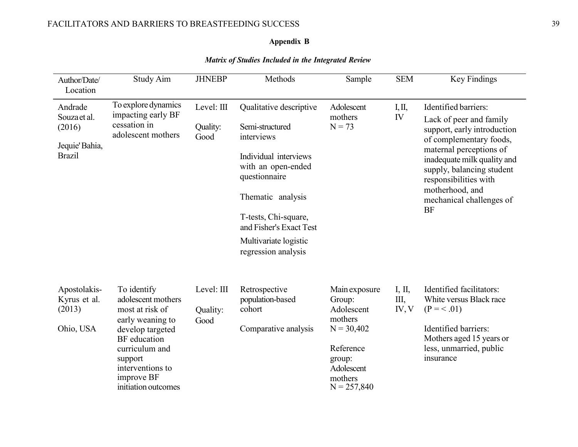#### **Appendix B**

Author/Date/ Location Study Aim JHNEBP Methods Sample SEM Key Findings Andrade Souzaet al. (2016) Jequie'Bahia, Brazil To explore dynamics impacting early BF cessation in adolescent mothers Level: III Quality: Good Qualitative descriptive Semi-structured interviews Individual interviews with an open-ended questionnaire Thematic analysis Adolescent mothers  $N = 73$ I,II, IV Identified barriers: Lack of peer and family support, early introduction of complementary foods, maternal perceptions of inadequate milk quality and supply, balancing student responsibilities with motherhood, and mechanical challenges of BF Ohio, USA early weaning to develop targeted BF education curriculum and support interventions to improve BF initiation outcomes Good Comparative analysis mothers  $N = 30,402$ Reference group: Adolescent mothers  $N = 257,840$ Identified barriers: Mothers aged 15 years or less, unmarried, public insurance T-tests, Chi-square, and Fisher's Exact Test Multivariate logistic regression analysis Apostolakis- To identify Level: III Retrospective Main exposure I, II, Identified facilitators: Kyrus et al. adolescent mothers population-based Group: III, White versus Black race (2013) most at risk of Quality: cohort Adolescent IV, V ( $P = < .01$ )

#### *Matrix of Studies Included in the Integrated Review*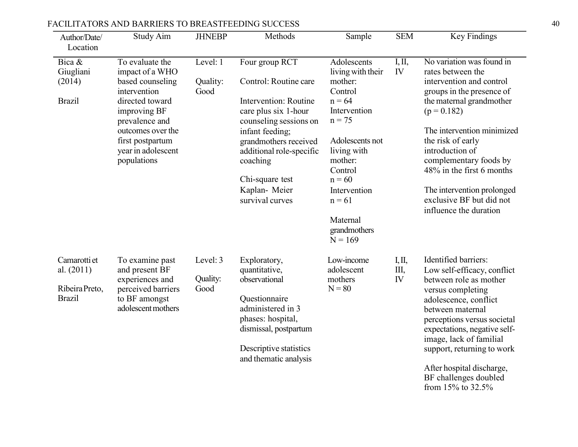| Author/Date/<br>Location                                        | Study Aim                                                                                                                                                                                                 | <b>JHNEBP</b>                | Methods                                                                                                                                                                                                                                                      | Sample                                                                                                                                                                                                                                  | <b>SEM</b>           | <b>Key Findings</b>                                                                                                                                                                                                                                                                                                                                                   |
|-----------------------------------------------------------------|-----------------------------------------------------------------------------------------------------------------------------------------------------------------------------------------------------------|------------------------------|--------------------------------------------------------------------------------------------------------------------------------------------------------------------------------------------------------------------------------------------------------------|-----------------------------------------------------------------------------------------------------------------------------------------------------------------------------------------------------------------------------------------|----------------------|-----------------------------------------------------------------------------------------------------------------------------------------------------------------------------------------------------------------------------------------------------------------------------------------------------------------------------------------------------------------------|
| Bica &<br>Giugliani<br>(2014)<br><b>Brazil</b>                  | To evaluate the<br>impact of a WHO<br>based counseling<br>intervention<br>directed toward<br>improving BF<br>prevalence and<br>outcomes over the<br>first postpartum<br>year in adolescent<br>populations | Level: 1<br>Quality:<br>Good | Four group RCT<br>Control: Routine care<br>Intervention: Routine<br>care plus six 1-hour<br>counseling sessions on<br>infant feeding;<br>grandmothers received<br>additional role-specific<br>coaching<br>Chi-square test<br>Kaplan-Meier<br>survival curves | Adolescents<br>living with their<br>mother:<br>Control<br>$n = 64$<br>Intervention<br>$n = 75$<br>Adolescents not<br>living with<br>mother:<br>Control<br>$n = 60$<br>Intervention<br>$n = 61$<br>Maternal<br>grandmothers<br>$N = 169$ | I, II,<br>IV         | No variation was found in<br>rates between the<br>intervention and control<br>groups in the presence of<br>the maternal grandmother<br>$(p = 0.182)$<br>The intervention minimized<br>the risk of early<br>introduction of<br>complementary foods by<br>48% in the first 6 months<br>The intervention prolonged<br>exclusive BF but did not<br>influence the duration |
| Camarotti et<br>al. $(2011)$<br>Ribeira Preto,<br><b>Brazil</b> | To examine past<br>and present BF<br>experiences and<br>perceived barriers<br>to BF amongst<br>adolescent mothers                                                                                         | Level: 3<br>Quality:<br>Good | Exploratory,<br>quantitative,<br>observational<br>Questionnaire<br>administered in 3<br>phases: hospital,<br>dismissal, postpartum<br>Descriptive statistics<br>and thematic analysis                                                                        | Low-income<br>adolescent<br>mothers<br>$N = 80$                                                                                                                                                                                         | I, II,<br>III,<br>IV | Identified barriers:<br>Low self-efficacy, conflict<br>between role as mother<br>versus completing<br>adolescence, conflict<br>between maternal<br>perceptions versus societal<br>expectations, negative self-<br>image, lack of familial<br>support, returning to work<br>After hospital discharge,<br>BF challenges doubled<br>from 15% to 32.5%                    |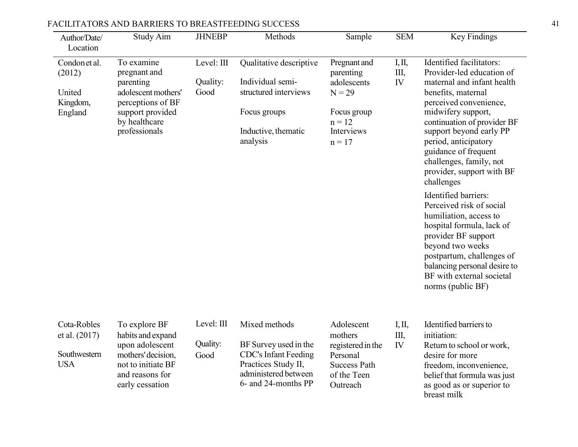| Author/Date/<br>Location                                   | Study Aim                                                                                                                                 | <b>JHNEBP</b>                  | Methods                                                                                                                                     | Sample                                                                                                    | <b>SEM</b>           | Key Findings                                                                                                                                                                                                                                                                                                                                                                                                                                                                                                                                                                                                   |
|------------------------------------------------------------|-------------------------------------------------------------------------------------------------------------------------------------------|--------------------------------|---------------------------------------------------------------------------------------------------------------------------------------------|-----------------------------------------------------------------------------------------------------------|----------------------|----------------------------------------------------------------------------------------------------------------------------------------------------------------------------------------------------------------------------------------------------------------------------------------------------------------------------------------------------------------------------------------------------------------------------------------------------------------------------------------------------------------------------------------------------------------------------------------------------------------|
| Condonet al.<br>(2012)<br>United<br>Kingdom,<br>England    | To examine<br>pregnant and<br>parenting<br>adolescent mothers'<br>perceptions of BF<br>support provided<br>by healthcare<br>professionals | Level: III<br>Quality:<br>Good | Qualitative descriptive<br>Individual semi-<br>structured interviews<br>Focus groups<br>Inductive, thematic<br>analysis                     | Pregnant and<br>parenting<br>adolescents<br>$N = 29$<br>Focus group<br>$n = 12$<br>Interviews<br>$n = 17$ | I, II,<br>III,<br>IV | Identified facilitators:<br>Provider-led education of<br>maternal and infant health<br>benefits, maternal<br>perceived convenience,<br>midwifery support,<br>continuation of provider BF<br>support beyond early PP<br>period, anticipatory<br>guidance of frequent<br>challenges, family, not<br>provider, support with BF<br>challenges<br>Identified barriers:<br>Perceived risk of social<br>humiliation, access to<br>hospital formula, lack of<br>provider BF support<br>beyond two weeks<br>postpartum, challenges of<br>balancing personal desire to<br>BF with external societal<br>norms (public BF) |
| Cota-Robles<br>et al. (2017)<br>Southwestern<br><b>USA</b> | To explore BF<br>habits and expand<br>upon adolescent<br>mothers' decision,<br>not to initiate BF<br>and reasons for<br>early cessation   | Level: III<br>Quality:<br>Good | Mixed methods<br>BF Survey used in the<br><b>CDC's Infant Feeding</b><br>Practices Study II,<br>administered between<br>6- and 24-months PP | Adolescent<br>mothers<br>registered in the<br>Personal<br><b>Success Path</b><br>of the Teen<br>Outreach  | I, II,<br>Ш,<br>IV   | Identified barriers to<br>initiation:<br>Return to school or work,<br>desire for more<br>freedom, inconvenience,<br>belief that formula was just<br>as good as or superior to                                                                                                                                                                                                                                                                                                                                                                                                                                  |

breast milk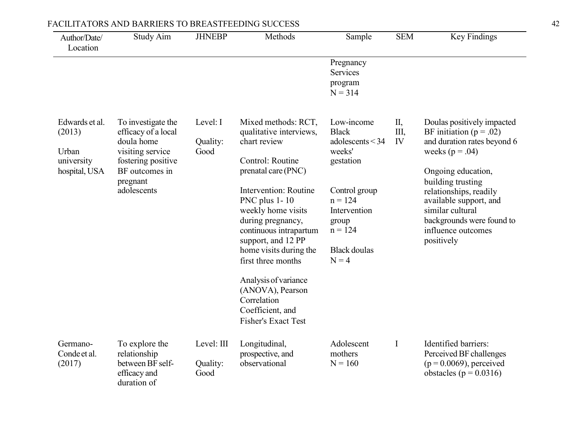| Author/Date/<br>Location                                         | Study Aim                                                                                                                                      | <b>JHNEBP</b>                  | Methods                                                                                                                                                                                                                                                                                                                                                                                                     | Sample                                                                                                                                                                      | <b>SEM</b>     | Key Findings                                                                                                                                                                                                                                                                                        |
|------------------------------------------------------------------|------------------------------------------------------------------------------------------------------------------------------------------------|--------------------------------|-------------------------------------------------------------------------------------------------------------------------------------------------------------------------------------------------------------------------------------------------------------------------------------------------------------------------------------------------------------------------------------------------------------|-----------------------------------------------------------------------------------------------------------------------------------------------------------------------------|----------------|-----------------------------------------------------------------------------------------------------------------------------------------------------------------------------------------------------------------------------------------------------------------------------------------------------|
|                                                                  |                                                                                                                                                |                                |                                                                                                                                                                                                                                                                                                                                                                                                             | Pregnancy<br>Services<br>program<br>$N = 314$                                                                                                                               |                |                                                                                                                                                                                                                                                                                                     |
| Edwards et al.<br>(2013)<br>Urban<br>university<br>hospital, USA | To investigate the<br>efficacy of a local<br>doula home<br>visiting service<br>fostering positive<br>BF outcomes in<br>pregnant<br>adolescents | Level: I<br>Quality:<br>Good   | Mixed methods: RCT,<br>qualitative interviews,<br>chart review<br>Control: Routine<br>prenatal care (PNC)<br>Intervention: Routine<br>PNC plus 1-10<br>weekly home visits<br>during pregnancy,<br>continuous intrapartum<br>support, and 12 PP<br>home visits during the<br>first three months<br>Analysis of variance<br>(ANOVA), Pearson<br>Correlation<br>Coefficient, and<br><b>Fisher's Exact Test</b> | Low-income<br><b>Black</b><br>adolescents < 34<br>weeks'<br>gestation<br>Control group<br>$n = 124$<br>Intervention<br>group<br>$n = 124$<br><b>Black</b> doulas<br>$N = 4$ | П,<br>Ш,<br>IV | Doulas positively impacted<br>BF initiation ( $p = .02$ )<br>and duration rates beyond 6<br>weeks ( $p = .04$ )<br>Ongoing education,<br>building trusting<br>relationships, readily<br>available support, and<br>similar cultural<br>backgrounds were found to<br>influence outcomes<br>positively |
| Germano-<br>Conde et al.<br>(2017)                               | To explore the<br>relationship<br>between BF self-<br>efficacy and<br>duration of                                                              | Level: III<br>Quality:<br>Good | Longitudinal,<br>prospective, and<br>observational                                                                                                                                                                                                                                                                                                                                                          | Adolescent<br>mothers<br>$N = 160$                                                                                                                                          | $\mathbf I$    | Identified barriers:<br>Perceived BF challenges<br>$(p = 0.0069)$ , perceived<br>obstacles ( $p = 0.0316$ )                                                                                                                                                                                         |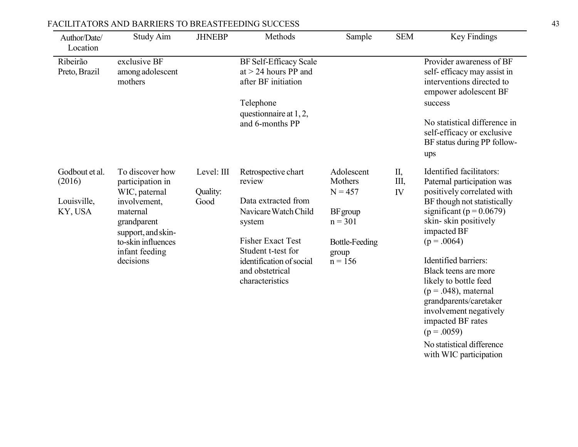| Author/Date/<br>Location                           | Study Aim                                                                                                                                                                  | <b>JHNEBP</b>                  | Methods                                                                                                                                                                                                    | Sample                                                                                                     | <b>SEM</b>     | Key Findings                                                                                                                                                                                                                                                                                                                                                                                                                                                 |
|----------------------------------------------------|----------------------------------------------------------------------------------------------------------------------------------------------------------------------------|--------------------------------|------------------------------------------------------------------------------------------------------------------------------------------------------------------------------------------------------------|------------------------------------------------------------------------------------------------------------|----------------|--------------------------------------------------------------------------------------------------------------------------------------------------------------------------------------------------------------------------------------------------------------------------------------------------------------------------------------------------------------------------------------------------------------------------------------------------------------|
| Ribeirão<br>Preto, Brazil                          | exclusive BF<br>among adolescent<br>mothers                                                                                                                                |                                | BF Self-Efficacy Scale<br>at $>$ 24 hours PP and<br>after BF initiation<br>Telephone<br>questionnaire at 1, 2,<br>and 6-months PP                                                                          |                                                                                                            |                | Provider awareness of BF<br>self-efficacy may assist in<br>interventions directed to<br>empower adolescent BF<br>success<br>No statistical difference in<br>self-efficacy or exclusive<br>BF status during PP follow-<br>ups                                                                                                                                                                                                                                 |
| Godbout et al.<br>(2016)<br>Louisville,<br>KY, USA | To discover how<br>participation in<br>WIC, paternal<br>involvement,<br>maternal<br>grandparent<br>support, and skin-<br>to-skin influences<br>infant feeding<br>decisions | Level: III<br>Quality:<br>Good | Retrospective chart<br>review<br>Data extracted from<br>Navicare Watch Child<br>system<br><b>Fisher Exact Test</b><br>Student t-test for<br>identification of social<br>and obstetrical<br>characteristics | Adolescent<br>Mothers<br>$N = 457$<br>BF group<br>$n = 301$<br><b>Bottle-Feeding</b><br>group<br>$n = 156$ | П,<br>Ш,<br>IV | Identified facilitators:<br>Paternal participation was<br>positively correlated with<br>BF though not statistically<br>significant ( $p = 0.0679$ )<br>skin-skin positively<br>impacted BF<br>$(p = .0064)$<br>Identified barriers:<br>Black teens are more<br>likely to bottle feed<br>$(p=.048)$ , maternal<br>grandparents/caretaker<br>involvement negatively<br>impacted BF rates<br>$(p=.0059)$<br>No statistical difference<br>with WIC participation |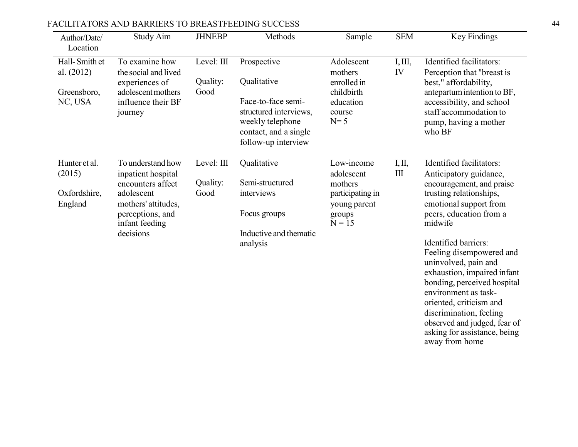| Author/Date/<br>Location      | Study Aim                                                 | <b>JHNEBP</b>          | Methods                                                                                                                                          | Sample                               | <b>SEM</b>                                 | Key Findings                                                                                                                                                                              |  |  |  |                                                                                                                       |
|-------------------------------|-----------------------------------------------------------|------------------------|--------------------------------------------------------------------------------------------------------------------------------------------------|--------------------------------------|--------------------------------------------|-------------------------------------------------------------------------------------------------------------------------------------------------------------------------------------------|--|--|--|-----------------------------------------------------------------------------------------------------------------------|
| Hall-Smith et<br>al. $(2012)$ | To examine how<br>the social and lived<br>experiences of  | Level: III<br>Quality: | Prospective<br>Qualitative                                                                                                                       | Adolescent<br>mothers<br>enrolled in | I, III,<br>IV                              | Identified facilitators:<br>Perception that "breast is<br>best," affordability,                                                                                                           |  |  |  |                                                                                                                       |
| Greensboro,<br>NC, USA        | adolescent mothers<br>influence their BF<br>journey       | Good                   | Face-to-face semi-<br>education<br>structured interviews,<br>course<br>weekly telephone<br>$N=5$<br>contact, and a single<br>follow-up interview | childbirth                           |                                            |                                                                                                                                                                                           |  |  |  | antepartum intention to BF,<br>accessibility, and school<br>staff accommodation to<br>pump, having a mother<br>who BF |
| Hunter et al.<br>(2015)       | To understand how<br>inpatient hospital                   | Level: III             | Qualitative                                                                                                                                      | Low-income<br>adolescent             | I, II,<br>$\mathop{\mathrm{III}}\nolimits$ | Identified facilitators:<br>Anticipatory guidance,                                                                                                                                        |  |  |  |                                                                                                                       |
| Oxfordshire,                  | encounters affect<br>adolescent                           | Quality:<br>Good       | Semi-structured<br>interviews                                                                                                                    | mothers<br>participating in          |                                            | encouragement, and praise<br>trusting relationships,                                                                                                                                      |  |  |  |                                                                                                                       |
| England                       | mothers' attitudes,<br>perceptions, and<br>infant feeding |                        | Focus groups                                                                                                                                     | young parent<br>groups               | $N = 15$                                   | emotional support from<br>peers, education from a<br>midwife                                                                                                                              |  |  |  |                                                                                                                       |
|                               | decisions                                                 |                        | Inductive and thematic<br>analysis                                                                                                               |                                      |                                            | Identified barriers:<br>Feeling disempowered and<br>uninvolved, pain and<br>exhaustion, impaired infant<br>bonding, perceived hospital<br>environment as task-<br>oriented, criticism and |  |  |  |                                                                                                                       |

discrimination, feeling observed and judged, fear of asking for assistance, being

away from home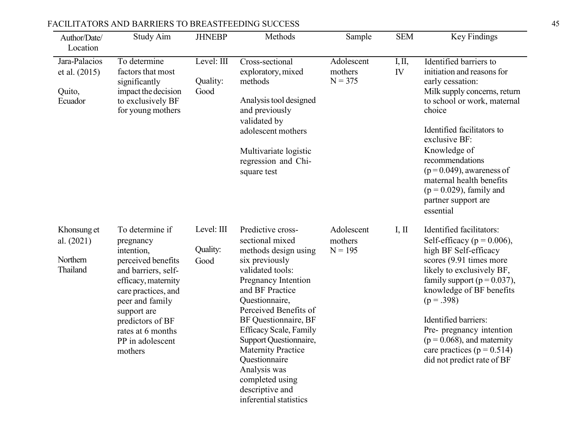| Author/Date/                                        | <b>Study Aim</b>                                                                                                                                                                                                                                | <b>JHNEBP</b>                  | Methods                                                                                                                                                                                                                                                                                                                                                                                                  | Sample                             | <b>SEM</b>   | Key Findings                                                                                                                                                                                                                                                                                                                                                                  |
|-----------------------------------------------------|-------------------------------------------------------------------------------------------------------------------------------------------------------------------------------------------------------------------------------------------------|--------------------------------|----------------------------------------------------------------------------------------------------------------------------------------------------------------------------------------------------------------------------------------------------------------------------------------------------------------------------------------------------------------------------------------------------------|------------------------------------|--------------|-------------------------------------------------------------------------------------------------------------------------------------------------------------------------------------------------------------------------------------------------------------------------------------------------------------------------------------------------------------------------------|
| Location                                            |                                                                                                                                                                                                                                                 |                                |                                                                                                                                                                                                                                                                                                                                                                                                          |                                    |              |                                                                                                                                                                                                                                                                                                                                                                               |
| Jara-Palacios<br>et al. (2015)<br>Quito,<br>Ecuador | To determine<br>factors that most<br>significantly<br>impact the decision<br>to exclusively BF<br>for young mothers                                                                                                                             | Level: III<br>Quality:<br>Good | Cross-sectional<br>exploratory, mixed<br>methods<br>Analysis tool designed<br>and previously<br>validated by<br>adolescent mothers<br>Multivariate logistic<br>regression and Chi-<br>square test                                                                                                                                                                                                        | Adolescent<br>mothers<br>$N = 375$ | I, II,<br>IV | Identified barriers to<br>initiation and reasons for<br>early cessation:<br>Milk supply concerns, return<br>to school or work, maternal<br>choice<br>Identified facilitators to<br>exclusive BF:<br>Knowledge of<br>recommendations<br>$(p=0.049)$ , awareness of<br>maternal health benefits<br>$(p = 0.029)$ , family and<br>partner support are<br>essential               |
| Khonsung et<br>al. (2021)<br>Northern<br>Thailand   | To determine if<br>pregnancy<br>intention,<br>perceived benefits<br>and barriers, self-<br>efficacy, maternity<br>care practices, and<br>peer and family<br>support are<br>predictors of BF<br>rates at 6 months<br>PP in adolescent<br>mothers | Level: III<br>Quality:<br>Good | Predictive cross-<br>sectional mixed<br>methods design using<br>six previously<br>validated tools:<br>Pregnancy Intention<br>and BF Practice<br>Questionnaire,<br>Perceived Benefits of<br>BF Questionnaire, BF<br><b>Efficacy Scale, Family</b><br>Support Questionnaire,<br><b>Maternity Practice</b><br>Questionnaire<br>Analysis was<br>completed using<br>descriptive and<br>inferential statistics | Adolescent<br>mothers<br>$N = 195$ | I, II        | Identified facilitators:<br>Self-efficacy ( $p = 0.006$ ),<br>high BF Self-efficacy<br>scores (9.91 times more<br>likely to exclusively BF,<br>family support ( $p = 0.037$ ),<br>knowledge of BF benefits<br>$(p=.398)$<br>Identified barriers:<br>Pre- pregnancy intention<br>$(p = 0.068)$ , and maternity<br>care practices ( $p = 0.514$ )<br>did not predict rate of BF |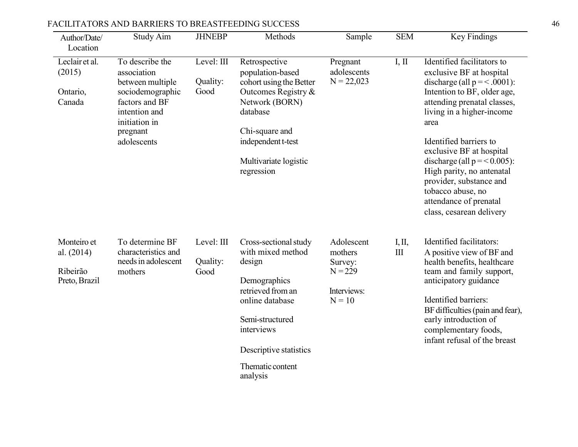| Author/Date/<br>Location                               | Study Aim                                                                                                                                             | <b>JHNEBP</b>                  | Methods                                                                                                                                                                                                 | Sample                                                                   | <b>SEM</b>                   | Key Findings                                                                                                                                                                                                                                                                                                                                                                                                          |
|--------------------------------------------------------|-------------------------------------------------------------------------------------------------------------------------------------------------------|--------------------------------|---------------------------------------------------------------------------------------------------------------------------------------------------------------------------------------------------------|--------------------------------------------------------------------------|------------------------------|-----------------------------------------------------------------------------------------------------------------------------------------------------------------------------------------------------------------------------------------------------------------------------------------------------------------------------------------------------------------------------------------------------------------------|
| Leclair et al.<br>(2015)<br>Ontario,<br>Canada         | To describe the<br>association<br>between multiple<br>sociodemographic<br>factors and BF<br>intention and<br>initiation in<br>pregnant<br>adolescents | Level: III<br>Quality:<br>Good | Retrospective<br>population-based<br>cohort using the Better<br>Outcomes Registry &<br>Network (BORN)<br>database<br>Chi-square and<br>independent t-test<br>Multivariate logistic<br>regression        | Pregnant<br>adolescents<br>$N = 22,023$                                  | I, II                        | Identified facilitators to<br>exclusive BF at hospital<br>discharge (all $p = <.0001$ ):<br>Intention to BF, older age,<br>attending prenatal classes,<br>living in a higher-income<br>area<br>Identified barriers to<br>exclusive BF at hospital<br>discharge (all $p = 0.005$ ):<br>High parity, no antenatal<br>provider, substance and<br>tobacco abuse, no<br>attendance of prenatal<br>class, cesarean delivery |
| Monteiro et<br>al. (2014)<br>Ribeirão<br>Preto, Brazil | To determine BF<br>characteristics and<br>needs in adolescent<br>mothers                                                                              | Level: III<br>Quality:<br>Good | Cross-sectional study<br>with mixed method<br>design<br>Demographics<br>retrieved from an<br>online database<br>Semi-structured<br>interviews<br>Descriptive statistics<br>Thematic content<br>analysis | Adolescent<br>mothers<br>Survey:<br>$N = 229$<br>Interviews:<br>$N = 10$ | I, II,<br>$\mathop{\rm III}$ | Identified facilitators:<br>A positive view of BF and<br>health benefits, healthcare<br>team and family support,<br>anticipatory guidance<br>Identified barriers:<br>BF difficulties (pain and fear),<br>early introduction of<br>complementary foods,<br>infant refusal of the breast                                                                                                                                |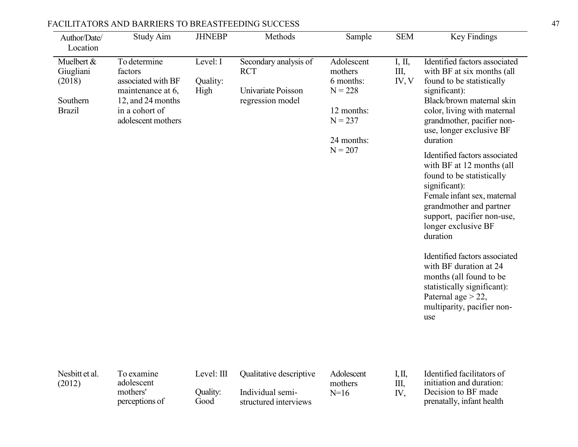| Author/Date/<br>Location                                       | Study Aim                                                                                                                       | <b>JHNEBP</b>                | Methods                                                                       | Sample                                                                                                | <b>SEM</b>            | Key Findings                                                                                                                                                                                                                                                                                                                                                                                                                                                                                                                                                                                                                                                         |
|----------------------------------------------------------------|---------------------------------------------------------------------------------------------------------------------------------|------------------------------|-------------------------------------------------------------------------------|-------------------------------------------------------------------------------------------------------|-----------------------|----------------------------------------------------------------------------------------------------------------------------------------------------------------------------------------------------------------------------------------------------------------------------------------------------------------------------------------------------------------------------------------------------------------------------------------------------------------------------------------------------------------------------------------------------------------------------------------------------------------------------------------------------------------------|
| Muelbert &<br>Giugliani<br>(2018)<br>Southern<br><b>Brazil</b> | To determine<br>factors<br>associated with BF<br>maintenance at 6,<br>12, and 24 months<br>in a cohort of<br>adolescent mothers | Level: I<br>Quality:<br>High | Secondary analysis of<br><b>RCT</b><br>Univariate Poisson<br>regression model | Adolescent<br>mothers<br>6 months:<br>$N = 228$<br>12 months:<br>$N = 237$<br>24 months:<br>$N = 207$ | I, II,<br>Ш,<br>IV, V | Identified factors associated<br>with BF at six months (all<br>found to be statistically<br>significant):<br>Black/brown maternal skin<br>color, living with maternal<br>grandmother, pacifier non-<br>use, longer exclusive BF<br>duration<br>Identified factors associated<br>with BF at 12 months (all<br>found to be statistically<br>significant):<br>Female infant sex, maternal<br>grandmother and partner<br>support, pacifier non-use,<br>longer exclusive BF<br>duration<br>Identified factors associated<br>with BF duration at 24<br>months (all found to be<br>statistically significant):<br>Paternal age $>$ 22,<br>multiparity, pacifier non-<br>use |
|                                                                |                                                                                                                                 |                              |                                                                               |                                                                                                       |                       |                                                                                                                                                                                                                                                                                                                                                                                                                                                                                                                                                                                                                                                                      |

| Nesbitt et al.<br>(2012) | To examine<br>adolescent   | Level: III       | Qualitative descriptive                   | Adolescent<br>mothers | Ш | Identified facilitators of<br>initiation and duration: |
|--------------------------|----------------------------|------------------|-------------------------------------------|-----------------------|---|--------------------------------------------------------|
|                          | mothers'<br>perceptions of | Ouality:<br>Good | Individual semi-<br>structured interviews | $N=16$                |   | Decision to BF made<br>prenatally, infant health       |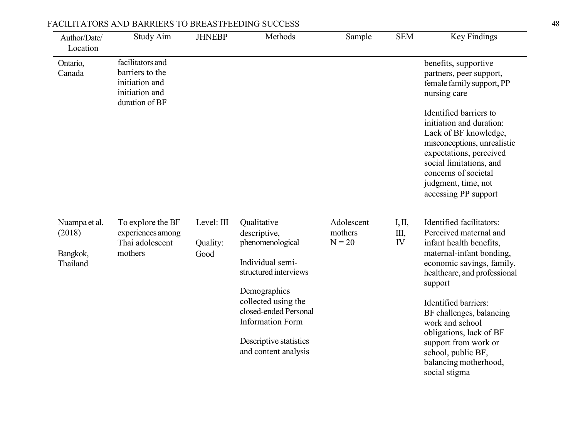| Author/Date/<br>Location                        | <b>Study Aim</b>                                                                          | <b>JHNEBP</b>                  | Methods                                                                                                                                                                                                                                   | Sample                            | <b>SEM</b>         | Key Findings                                                                                                                                                                                                                                                                                                                                                                |
|-------------------------------------------------|-------------------------------------------------------------------------------------------|--------------------------------|-------------------------------------------------------------------------------------------------------------------------------------------------------------------------------------------------------------------------------------------|-----------------------------------|--------------------|-----------------------------------------------------------------------------------------------------------------------------------------------------------------------------------------------------------------------------------------------------------------------------------------------------------------------------------------------------------------------------|
| Ontario,<br>Canada                              | facilitators and<br>barriers to the<br>initiation and<br>initiation and<br>duration of BF |                                |                                                                                                                                                                                                                                           |                                   |                    | benefits, supportive<br>partners, peer support,<br>female family support, PP<br>nursing care<br>Identified barriers to<br>initiation and duration:<br>Lack of BF knowledge,<br>misconceptions, unrealistic<br>expectations, perceived<br>social limitations, and<br>concerns of societal<br>judgment, time, not<br>accessing PP support                                     |
| Nuampa et al.<br>(2018)<br>Bangkok,<br>Thailand | To explore the BF<br>experiences among<br>Thai adolescent<br>mothers                      | Level: III<br>Quality:<br>Good | Qualitative<br>descriptive,<br>phenomenological<br>Individual semi-<br>structured interviews<br>Demographics<br>collected using the<br>closed-ended Personal<br><b>Information Form</b><br>Descriptive statistics<br>and content analysis | Adolescent<br>mothers<br>$N = 20$ | I, II,<br>Ш,<br>IV | Identified facilitators:<br>Perceived maternal and<br>infant health benefits,<br>maternal-infant bonding,<br>economic savings, family,<br>healthcare, and professional<br>support<br>Identified barriers:<br>BF challenges, balancing<br>work and school<br>obligations, lack of BF<br>support from work or<br>school, public BF,<br>balancing motherhood,<br>social stigma |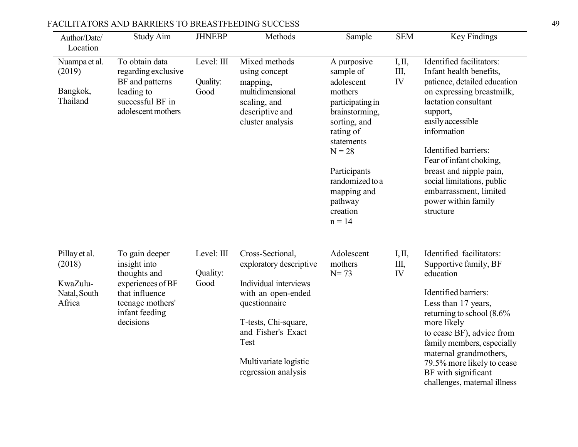| Author/Date/<br>Location                                      | <b>Study Aim</b>                                                                                                                         | <b>JHNEBP</b>                  | Methods                                                                                                                                                                                                           | Sample                                                                                                                                                                                                                              | <b>SEM</b>         | <b>Key Findings</b>                                                                                                                                                                                                                                                                                                                                                |
|---------------------------------------------------------------|------------------------------------------------------------------------------------------------------------------------------------------|--------------------------------|-------------------------------------------------------------------------------------------------------------------------------------------------------------------------------------------------------------------|-------------------------------------------------------------------------------------------------------------------------------------------------------------------------------------------------------------------------------------|--------------------|--------------------------------------------------------------------------------------------------------------------------------------------------------------------------------------------------------------------------------------------------------------------------------------------------------------------------------------------------------------------|
| Nuampa et al.<br>(2019)<br>Bangkok,<br>Thailand               | To obtain data<br>regarding exclusive<br>BF and patterns<br>leading to<br>successful BF in<br>adolescent mothers                         | Level: III<br>Quality:<br>Good | Mixed methods<br>using concept<br>mapping,<br>multidimensional<br>scaling, and<br>descriptive and<br>cluster analysis                                                                                             | A purposive<br>sample of<br>adolescent<br>mothers<br>participating in<br>brainstorming,<br>sorting, and<br>rating of<br>statements<br>$N = 28$<br>Participants<br>randomized to a<br>mapping and<br>pathway<br>creation<br>$n = 14$ | I, II,<br>Ш,<br>IV | Identified facilitators:<br>Infant health benefits,<br>patience, detailed education<br>on expressing breastmilk,<br>lactation consultant<br>support,<br>easily accessible<br>information<br>Identified barriers:<br>Fear of infant choking,<br>breast and nipple pain,<br>social limitations, public<br>embarrassment, limited<br>power within family<br>structure |
| Pillay et al.<br>(2018)<br>KwaZulu-<br>Natal, South<br>Africa | To gain deeper<br>insight into<br>thoughts and<br>experiences of BF<br>that influence<br>teenage mothers'<br>infant feeding<br>decisions | Level: III<br>Quality:<br>Good | Cross-Sectional,<br>exploratory descriptive<br>Individual interviews<br>with an open-ended<br>questionnaire<br>T-tests, Chi-square,<br>and Fisher's Exact<br>Test<br>Multivariate logistic<br>regression analysis | Adolescent<br>mothers<br>$N = 73$                                                                                                                                                                                                   | I, II,<br>Ш,<br>IV | Identified facilitators:<br>Supportive family, BF<br>education<br>Identified barriers:<br>Less than 17 years,<br>returning to school $(8.6\%$<br>more likely<br>to cease BF), advice from<br>family members, especially<br>maternal grandmothers,<br>79.5% more likely to cease<br>BF with significant<br>challenges, maternal illness                             |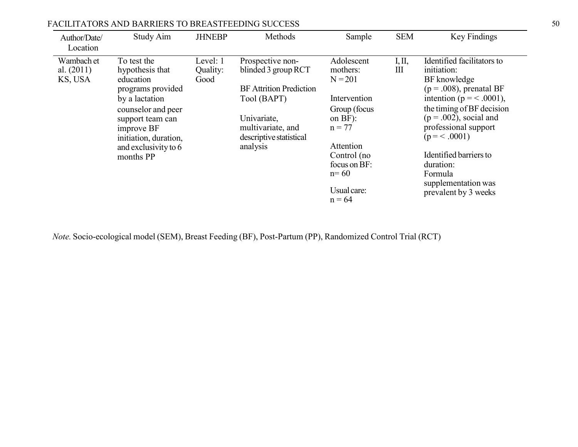| Author/Date/<br>Location              | Study Aim                                                                                                                                                                                                | <b>JHNEBP</b>                | Methods                                                                                                                                                             | Sample                                                                                                                                                                           | <b>SEM</b>  | Key Findings                                                                                                                                                                                                                                                                                                            |
|---------------------------------------|----------------------------------------------------------------------------------------------------------------------------------------------------------------------------------------------------------|------------------------------|---------------------------------------------------------------------------------------------------------------------------------------------------------------------|----------------------------------------------------------------------------------------------------------------------------------------------------------------------------------|-------------|-------------------------------------------------------------------------------------------------------------------------------------------------------------------------------------------------------------------------------------------------------------------------------------------------------------------------|
| Wambach et<br>al. $(2011)$<br>KS, USA | To test the<br>hypothesis that<br>education<br>programs provided<br>by a lactation<br>counselor and peer<br>support team can<br>improve BF<br>initiation, duration,<br>and exclusivity to 6<br>months PP | Level: 1<br>Quality:<br>Good | Prospective non-<br>blinded 3 group RCT<br><b>BF</b> Attrition Prediction<br>Tool (BAPT)<br>Univariate,<br>multivariate, and<br>descriptive statistical<br>analysis | Adolescent<br>mothers:<br>$N = 201$<br>Intervention<br>Group (focus<br>on $BF$ ):<br>$n = 77$<br>Attention<br>Control (no<br>focus on BF:<br>$n = 60$<br>Usual care:<br>$n = 64$ | I, II,<br>Ш | Identified facilitators to<br>initiation:<br>BF knowledge<br>$(p=.008)$ , prenatal BF<br>intention ( $p = < .0001$ ),<br>the timing of BF decision<br>$(p=.002)$ , social and<br>professional support<br>$(p = 0.001)$<br>Identified barriers to<br>duration:<br>Formula<br>supplementation was<br>prevalent by 3 weeks |

*Note.* Socio-ecological model (SEM), Breast Feeding (BF), Post-Partum (PP), Randomized Control Trial (RCT)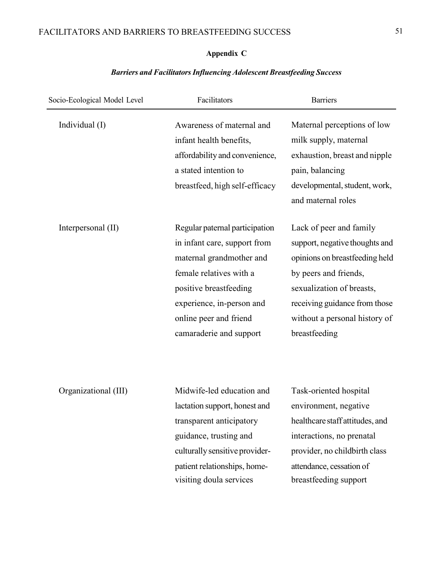## **Appendix C**

## *Barriers and FacilitatorsInfluencing Adolescent Breastfeeding Success*

| Socio-Ecological Model Level | Facilitators                                                                                                                                                                                                                      | <b>Barriers</b>                                                                                                                                                                                                                      |
|------------------------------|-----------------------------------------------------------------------------------------------------------------------------------------------------------------------------------------------------------------------------------|--------------------------------------------------------------------------------------------------------------------------------------------------------------------------------------------------------------------------------------|
| Individual (I)               | Awareness of maternal and<br>infant health benefits,<br>affordability and convenience,<br>a stated intention to<br>breastfeed, high self-efficacy                                                                                 | Maternal perceptions of low<br>milk supply, maternal<br>exhaustion, breast and nipple<br>pain, balancing<br>developmental, student, work,<br>and maternal roles                                                                      |
| Interpersonal (II)           | Regular paternal participation<br>in infant care, support from<br>maternal grandmother and<br>female relatives with a<br>positive breastfeeding<br>experience, in-person and<br>online peer and friend<br>camaraderie and support | Lack of peer and family<br>support, negative thoughts and<br>opinions on breastfeeding held<br>by peers and friends,<br>sexualization of breasts,<br>receiving guidance from those<br>without a personal history of<br>breastfeeding |
| Organizational (III)         | Midwife-led education and<br>lactation support, honest and<br>transparent anticipatory<br>guidance, trusting and<br>culturally sensitive provider-<br>patient relationships, home-<br>visiting doula services                     | Task-oriented hospital<br>environment, negative<br>healthcare staff attitudes, and<br>interactions, no prenatal<br>provider, no childbirth class<br>attendance, cessation of<br>breastfeeding support                                |